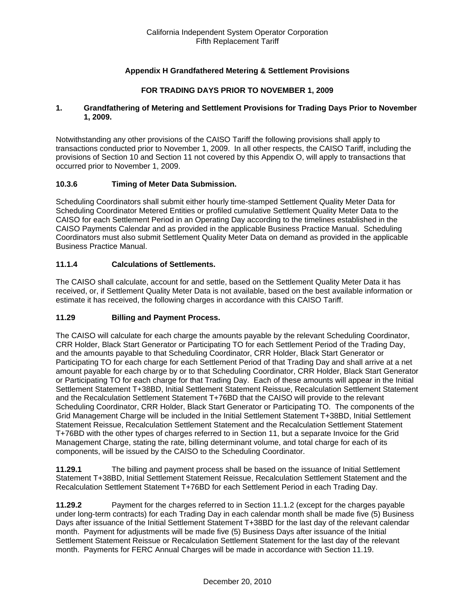## **Appendix H Grandfathered Metering & Settlement Provisions**

## **FOR TRADING DAYS PRIOR TO NOVEMBER 1, 2009**

### **1. Grandfathering of Metering and Settlement Provisions for Trading Days Prior to November 1, 2009.**

Notwithstanding any other provisions of the CAISO Tariff the following provisions shall apply to transactions conducted prior to November 1, 2009. In all other respects, the CAISO Tariff, including the provisions of Section 10 and Section 11 not covered by this Appendix O, will apply to transactions that occurred prior to November 1, 2009.

### **10.3.6 Timing of Meter Data Submission.**

Scheduling Coordinators shall submit either hourly time-stamped Settlement Quality Meter Data for Scheduling Coordinator Metered Entities or profiled cumulative Settlement Quality Meter Data to the CAISO for each Settlement Period in an Operating Day according to the timelines established in the CAISO Payments Calendar and as provided in the applicable Business Practice Manual. Scheduling Coordinators must also submit Settlement Quality Meter Data on demand as provided in the applicable Business Practice Manual.

### **11.1.4 Calculations of Settlements.**

The CAISO shall calculate, account for and settle, based on the Settlement Quality Meter Data it has received, or, if Settlement Quality Meter Data is not available, based on the best available information or estimate it has received, the following charges in accordance with this CAISO Tariff.

#### **11.29 Billing and Payment Process.**

The CAISO will calculate for each charge the amounts payable by the relevant Scheduling Coordinator, CRR Holder, Black Start Generator or Participating TO for each Settlement Period of the Trading Day, and the amounts payable to that Scheduling Coordinator, CRR Holder, Black Start Generator or Participating TO for each charge for each Settlement Period of that Trading Day and shall arrive at a net amount payable for each charge by or to that Scheduling Coordinator, CRR Holder, Black Start Generator or Participating TO for each charge for that Trading Day. Each of these amounts will appear in the Initial Settlement Statement T+38BD, Initial Settlement Statement Reissue, Recalculation Settlement Statement and the Recalculation Settlement Statement T+76BD that the CAISO will provide to the relevant Scheduling Coordinator, CRR Holder, Black Start Generator or Participating TO. The components of the Grid Management Charge will be included in the Initial Settlement Statement T+38BD, Initial Settlement Statement Reissue, Recalculation Settlement Statement and the Recalculation Settlement Statement T+76BD with the other types of charges referred to in Section 11, but a separate Invoice for the Grid Management Charge, stating the rate, billing determinant volume, and total charge for each of its components, will be issued by the CAISO to the Scheduling Coordinator.

**11.29.1** The billing and payment process shall be based on the issuance of Initial Settlement Statement T+38BD, Initial Settlement Statement Reissue, Recalculation Settlement Statement and the Recalculation Settlement Statement T+76BD for each Settlement Period in each Trading Day.

**11.29.2** Payment for the charges referred to in Section 11.1.2 (except for the charges payable under long-term contracts) for each Trading Day in each calendar month shall be made five (5) Business Days after issuance of the Initial Settlement Statement T+38BD for the last day of the relevant calendar month. Payment for adjustments will be made five (5) Business Days after issuance of the Initial Settlement Statement Reissue or Recalculation Settlement Statement for the last day of the relevant month. Payments for FERC Annual Charges will be made in accordance with Section 11.19.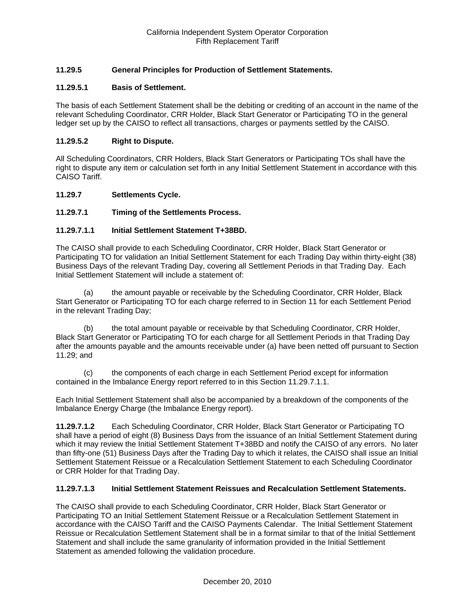## **11.29.5 General Principles for Production of Settlement Statements.**

## **11.29.5.1 Basis of Settlement.**

The basis of each Settlement Statement shall be the debiting or crediting of an account in the name of the relevant Scheduling Coordinator, CRR Holder, Black Start Generator or Participating TO in the general ledger set up by the CAISO to reflect all transactions, charges or payments settled by the CAISO.

### **11.29.5.2 Right to Dispute.**

All Scheduling Coordinators, CRR Holders, Black Start Generators or Participating TOs shall have the right to dispute any item or calculation set forth in any Initial Settlement Statement in accordance with this CAISO Tariff.

### **11.29.7 Settlements Cycle.**

## **11.29.7.1 Timing of the Settlements Process.**

## **11.29.7.1.1 Initial Settlement Statement T+38BD.**

The CAISO shall provide to each Scheduling Coordinator, CRR Holder, Black Start Generator or Participating TO for validation an Initial Settlement Statement for each Trading Day within thirty-eight (38) Business Days of the relevant Trading Day, covering all Settlement Periods in that Trading Day. Each Initial Settlement Statement will include a statement of:

(a) the amount payable or receivable by the Scheduling Coordinator, CRR Holder, Black Start Generator or Participating TO for each charge referred to in Section 11 for each Settlement Period in the relevant Trading Day;

(b) the total amount payable or receivable by that Scheduling Coordinator, CRR Holder, Black Start Generator or Participating TO for each charge for all Settlement Periods in that Trading Day after the amounts payable and the amounts receivable under (a) have been netted off pursuant to Section 11.29; and

(c) the components of each charge in each Settlement Period except for information contained in the Imbalance Energy report referred to in this Section 11.29.7.1.1.

Each Initial Settlement Statement shall also be accompanied by a breakdown of the components of the Imbalance Energy Charge (the Imbalance Energy report).

**11.29.7.1.2** Each Scheduling Coordinator, CRR Holder, Black Start Generator or Participating TO shall have a period of eight (8) Business Days from the issuance of an Initial Settlement Statement during which it may review the Initial Settlement Statement T+38BD and notify the CAISO of any errors. No later than fifty-one (51) Business Days after the Trading Day to which it relates, the CAISO shall issue an Initial Settlement Statement Reissue or a Recalculation Settlement Statement to each Scheduling Coordinator or CRR Holder for that Trading Day.

#### **11.29.7.1.3 Initial Settlement Statement Reissues and Recalculation Settlement Statements.**

The CAISO shall provide to each Scheduling Coordinator, CRR Holder, Black Start Generator or Participating TO an Initial Settlement Statement Reissue or a Recalculation Settlement Statement in accordance with the CAISO Tariff and the CAISO Payments Calendar. The Initial Settlement Statement Reissue or Recalculation Settlement Statement shall be in a format similar to that of the Initial Settlement Statement and shall include the same granularity of information provided in the Initial Settlement Statement as amended following the validation procedure.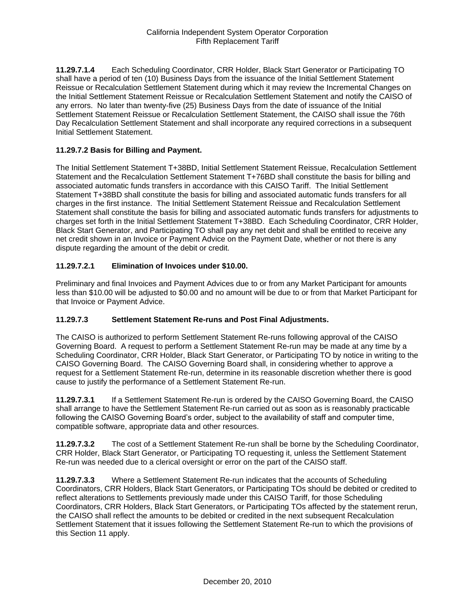**11.29.7.1.4** Each Scheduling Coordinator, CRR Holder, Black Start Generator or Participating TO shall have a period of ten (10) Business Days from the issuance of the Initial Settlement Statement Reissue or Recalculation Settlement Statement during which it may review the Incremental Changes on the Initial Settlement Statement Reissue or Recalculation Settlement Statement and notify the CAISO of any errors. No later than twenty-five (25) Business Days from the date of issuance of the Initial Settlement Statement Reissue or Recalculation Settlement Statement, the CAISO shall issue the 76th Day Recalculation Settlement Statement and shall incorporate any required corrections in a subsequent Initial Settlement Statement.

## **11.29.7.2 Basis for Billing and Payment.**

The Initial Settlement Statement T+38BD, Initial Settlement Statement Reissue, Recalculation Settlement Statement and the Recalculation Settlement Statement T+76BD shall constitute the basis for billing and associated automatic funds transfers in accordance with this CAISO Tariff. The Initial Settlement Statement T+38BD shall constitute the basis for billing and associated automatic funds transfers for all charges in the first instance. The Initial Settlement Statement Reissue and Recalculation Settlement Statement shall constitute the basis for billing and associated automatic funds transfers for adjustments to charges set forth in the Initial Settlement Statement T+38BD. Each Scheduling Coordinator, CRR Holder, Black Start Generator, and Participating TO shall pay any net debit and shall be entitled to receive any net credit shown in an Invoice or Payment Advice on the Payment Date, whether or not there is any dispute regarding the amount of the debit or credit.

## **11.29.7.2.1 Elimination of Invoices under \$10.00.**

Preliminary and final Invoices and Payment Advices due to or from any Market Participant for amounts less than \$10.00 will be adjusted to \$0.00 and no amount will be due to or from that Market Participant for that Invoice or Payment Advice.

## **11.29.7.3 Settlement Statement Re-runs and Post Final Adjustments.**

The CAISO is authorized to perform Settlement Statement Re-runs following approval of the CAISO Governing Board. A request to perform a Settlement Statement Re-run may be made at any time by a Scheduling Coordinator, CRR Holder, Black Start Generator, or Participating TO by notice in writing to the CAISO Governing Board. The CAISO Governing Board shall, in considering whether to approve a request for a Settlement Statement Re-run, determine in its reasonable discretion whether there is good cause to justify the performance of a Settlement Statement Re-run.

**11.29.7.3.1** If a Settlement Statement Re-run is ordered by the CAISO Governing Board, the CAISO shall arrange to have the Settlement Statement Re-run carried out as soon as is reasonably practicable following the CAISO Governing Board's order, subject to the availability of staff and computer time, compatible software, appropriate data and other resources.

**11.29.7.3.2** The cost of a Settlement Statement Re-run shall be borne by the Scheduling Coordinator, CRR Holder, Black Start Generator, or Participating TO requesting it, unless the Settlement Statement Re-run was needed due to a clerical oversight or error on the part of the CAISO staff.

**11.29.7.3.3** Where a Settlement Statement Re-run indicates that the accounts of Scheduling Coordinators, CRR Holders, Black Start Generators, or Participating TOs should be debited or credited to reflect alterations to Settlements previously made under this CAISO Tariff, for those Scheduling Coordinators, CRR Holders, Black Start Generators, or Participating TOs affected by the statement rerun, the CAISO shall reflect the amounts to be debited or credited in the next subsequent Recalculation Settlement Statement that it issues following the Settlement Statement Re-run to which the provisions of this Section 11 apply.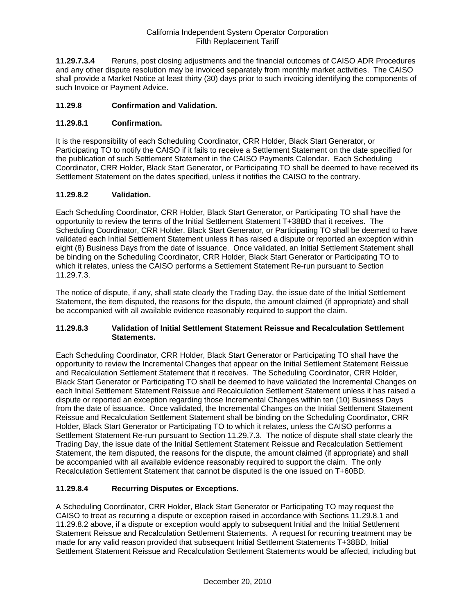**11.29.7.3.4** Reruns, post closing adjustments and the financial outcomes of CAISO ADR Procedures and any other dispute resolution may be invoiced separately from monthly market activities. The CAISO shall provide a Market Notice at least thirty (30) days prior to such invoicing identifying the components of such Invoice or Payment Advice.

## **11.29.8 Confirmation and Validation.**

## **11.29.8.1 Confirmation.**

It is the responsibility of each Scheduling Coordinator, CRR Holder, Black Start Generator, or Participating TO to notify the CAISO if it fails to receive a Settlement Statement on the date specified for the publication of such Settlement Statement in the CAISO Payments Calendar. Each Scheduling Coordinator, CRR Holder, Black Start Generator, or Participating TO shall be deemed to have received its Settlement Statement on the dates specified, unless it notifies the CAISO to the contrary.

## **11.29.8.2 Validation.**

Each Scheduling Coordinator, CRR Holder, Black Start Generator, or Participating TO shall have the opportunity to review the terms of the Initial Settlement Statement T+38BD that it receives. The Scheduling Coordinator, CRR Holder, Black Start Generator, or Participating TO shall be deemed to have validated each Initial Settlement Statement unless it has raised a dispute or reported an exception within eight (8) Business Days from the date of issuance. Once validated, an Initial Settlement Statement shall be binding on the Scheduling Coordinator, CRR Holder, Black Start Generator or Participating TO to which it relates, unless the CAISO performs a Settlement Statement Re-run pursuant to Section 11.29.7.3.

The notice of dispute, if any, shall state clearly the Trading Day, the issue date of the Initial Settlement Statement, the item disputed, the reasons for the dispute, the amount claimed (if appropriate) and shall be accompanied with all available evidence reasonably required to support the claim.

## **11.29.8.3 Validation of Initial Settlement Statement Reissue and Recalculation Settlement Statements.**

Each Scheduling Coordinator, CRR Holder, Black Start Generator or Participating TO shall have the opportunity to review the Incremental Changes that appear on the Initial Settlement Statement Reissue and Recalculation Settlement Statement that it receives. The Scheduling Coordinator, CRR Holder, Black Start Generator or Participating TO shall be deemed to have validated the Incremental Changes on each Initial Settlement Statement Reissue and Recalculation Settlement Statement unless it has raised a dispute or reported an exception regarding those Incremental Changes within ten (10) Business Days from the date of issuance. Once validated, the Incremental Changes on the Initial Settlement Statement Reissue and Recalculation Settlement Statement shall be binding on the Scheduling Coordinator, CRR Holder, Black Start Generator or Participating TO to which it relates, unless the CAISO performs a Settlement Statement Re-run pursuant to Section 11.29.7.3. The notice of dispute shall state clearly the Trading Day, the issue date of the Initial Settlement Statement Reissue and Recalculation Settlement Statement, the item disputed, the reasons for the dispute, the amount claimed (if appropriate) and shall be accompanied with all available evidence reasonably required to support the claim. The only Recalculation Settlement Statement that cannot be disputed is the one issued on T+60BD.

## **11.29.8.4 Recurring Disputes or Exceptions.**

A Scheduling Coordinator, CRR Holder, Black Start Generator or Participating TO may request the CAISO to treat as recurring a dispute or exception raised in accordance with Sections 11.29.8.1 and 11.29.8.2 above, if a dispute or exception would apply to subsequent Initial and the Initial Settlement Statement Reissue and Recalculation Settlement Statements. A request for recurring treatment may be made for any valid reason provided that subsequent Initial Settlement Statements T+38BD, Initial Settlement Statement Reissue and Recalculation Settlement Statements would be affected, including but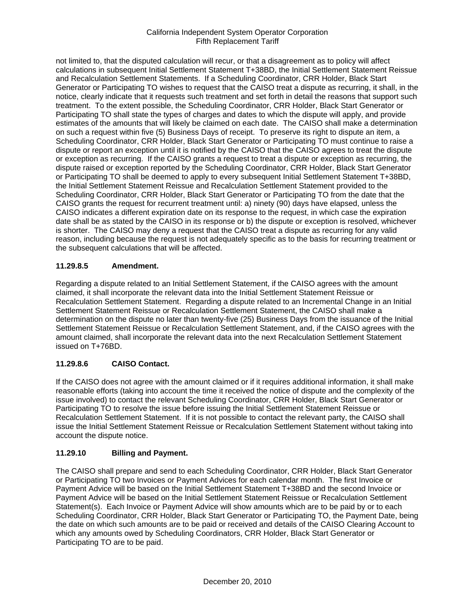not limited to, that the disputed calculation will recur, or that a disagreement as to policy will affect calculations in subsequent Initial Settlement Statement T+38BD, the Initial Settlement Statement Reissue and Recalculation Settlement Statements. If a Scheduling Coordinator, CRR Holder, Black Start Generator or Participating TO wishes to request that the CAISO treat a dispute as recurring, it shall, in the notice, clearly indicate that it requests such treatment and set forth in detail the reasons that support such treatment. To the extent possible, the Scheduling Coordinator, CRR Holder, Black Start Generator or Participating TO shall state the types of charges and dates to which the dispute will apply, and provide estimates of the amounts that will likely be claimed on each date. The CAISO shall make a determination on such a request within five (5) Business Days of receipt. To preserve its right to dispute an item, a Scheduling Coordinator, CRR Holder, Black Start Generator or Participating TO must continue to raise a dispute or report an exception until it is notified by the CAISO that the CAISO agrees to treat the dispute or exception as recurring. If the CAISO grants a request to treat a dispute or exception as recurring, the dispute raised or exception reported by the Scheduling Coordinator, CRR Holder, Black Start Generator or Participating TO shall be deemed to apply to every subsequent Initial Settlement Statement T+38BD, the Initial Settlement Statement Reissue and Recalculation Settlement Statement provided to the Scheduling Coordinator, CRR Holder, Black Start Generator or Participating TO from the date that the CAISO grants the request for recurrent treatment until: a) ninety (90) days have elapsed, unless the CAISO indicates a different expiration date on its response to the request, in which case the expiration date shall be as stated by the CAISO in its response or b) the dispute or exception is resolved, whichever is shorter. The CAISO may deny a request that the CAISO treat a dispute as recurring for any valid reason, including because the request is not adequately specific as to the basis for recurring treatment or the subsequent calculations that will be affected.

## **11.29.8.5 Amendment.**

Regarding a dispute related to an Initial Settlement Statement, if the CAISO agrees with the amount claimed, it shall incorporate the relevant data into the Initial Settlement Statement Reissue or Recalculation Settlement Statement. Regarding a dispute related to an Incremental Change in an Initial Settlement Statement Reissue or Recalculation Settlement Statement, the CAISO shall make a determination on the dispute no later than twenty-five (25) Business Days from the issuance of the Initial Settlement Statement Reissue or Recalculation Settlement Statement, and, if the CAISO agrees with the amount claimed, shall incorporate the relevant data into the next Recalculation Settlement Statement issued on T+76BD.

## **11.29.8.6 CAISO Contact.**

If the CAISO does not agree with the amount claimed or if it requires additional information, it shall make reasonable efforts (taking into account the time it received the notice of dispute and the complexity of the issue involved) to contact the relevant Scheduling Coordinator, CRR Holder, Black Start Generator or Participating TO to resolve the issue before issuing the Initial Settlement Statement Reissue or Recalculation Settlement Statement. If it is not possible to contact the relevant party, the CAISO shall issue the Initial Settlement Statement Reissue or Recalculation Settlement Statement without taking into account the dispute notice.

## **11.29.10 Billing and Payment.**

The CAISO shall prepare and send to each Scheduling Coordinator, CRR Holder, Black Start Generator or Participating TO two Invoices or Payment Advices for each calendar month. The first Invoice or Payment Advice will be based on the Initial Settlement Statement T+38BD and the second Invoice or Payment Advice will be based on the Initial Settlement Statement Reissue or Recalculation Settlement Statement(s). Each Invoice or Payment Advice will show amounts which are to be paid by or to each Scheduling Coordinator, CRR Holder, Black Start Generator or Participating TO, the Payment Date, being the date on which such amounts are to be paid or received and details of the CAISO Clearing Account to which any amounts owed by Scheduling Coordinators, CRR Holder, Black Start Generator or Participating TO are to be paid.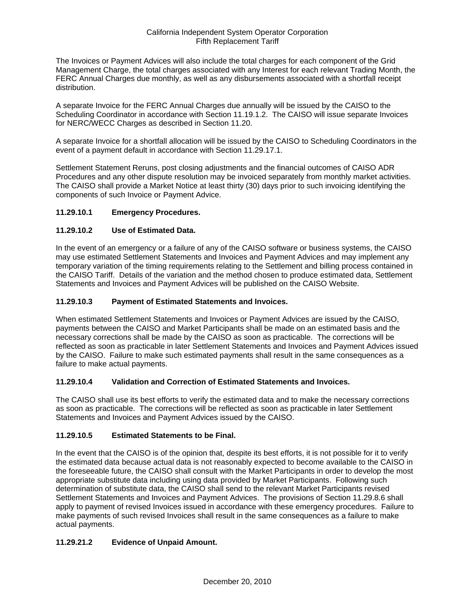The Invoices or Payment Advices will also include the total charges for each component of the Grid Management Charge, the total charges associated with any Interest for each relevant Trading Month, the FERC Annual Charges due monthly, as well as any disbursements associated with a shortfall receipt distribution.

A separate Invoice for the FERC Annual Charges due annually will be issued by the CAISO to the Scheduling Coordinator in accordance with Section 11.19.1.2. The CAISO will issue separate Invoices for NERC/WECC Charges as described in Section 11.20.

A separate Invoice for a shortfall allocation will be issued by the CAISO to Scheduling Coordinators in the event of a payment default in accordance with Section 11.29.17.1.

Settlement Statement Reruns, post closing adjustments and the financial outcomes of CAISO ADR Procedures and any other dispute resolution may be invoiced separately from monthly market activities. The CAISO shall provide a Market Notice at least thirty (30) days prior to such invoicing identifying the components of such Invoice or Payment Advice.

## **11.29.10.1 Emergency Procedures.**

## **11.29.10.2 Use of Estimated Data.**

In the event of an emergency or a failure of any of the CAISO software or business systems, the CAISO may use estimated Settlement Statements and Invoices and Payment Advices and may implement any temporary variation of the timing requirements relating to the Settlement and billing process contained in the CAISO Tariff. Details of the variation and the method chosen to produce estimated data, Settlement Statements and Invoices and Payment Advices will be published on the CAISO Website.

## **11.29.10.3 Payment of Estimated Statements and Invoices.**

When estimated Settlement Statements and Invoices or Payment Advices are issued by the CAISO, payments between the CAISO and Market Participants shall be made on an estimated basis and the necessary corrections shall be made by the CAISO as soon as practicable. The corrections will be reflected as soon as practicable in later Settlement Statements and Invoices and Payment Advices issued by the CAISO. Failure to make such estimated payments shall result in the same consequences as a failure to make actual payments.

## **11.29.10.4 Validation and Correction of Estimated Statements and Invoices.**

The CAISO shall use its best efforts to verify the estimated data and to make the necessary corrections as soon as practicable. The corrections will be reflected as soon as practicable in later Settlement Statements and Invoices and Payment Advices issued by the CAISO.

## **11.29.10.5 Estimated Statements to be Final.**

In the event that the CAISO is of the opinion that, despite its best efforts, it is not possible for it to verify the estimated data because actual data is not reasonably expected to become available to the CAISO in the foreseeable future, the CAISO shall consult with the Market Participants in order to develop the most appropriate substitute data including using data provided by Market Participants. Following such determination of substitute data, the CAISO shall send to the relevant Market Participants revised Settlement Statements and Invoices and Payment Advices. The provisions of Section 11.29.8.6 shall apply to payment of revised Invoices issued in accordance with these emergency procedures. Failure to make payments of such revised Invoices shall result in the same consequences as a failure to make actual payments.

## **11.29.21.2 Evidence of Unpaid Amount.**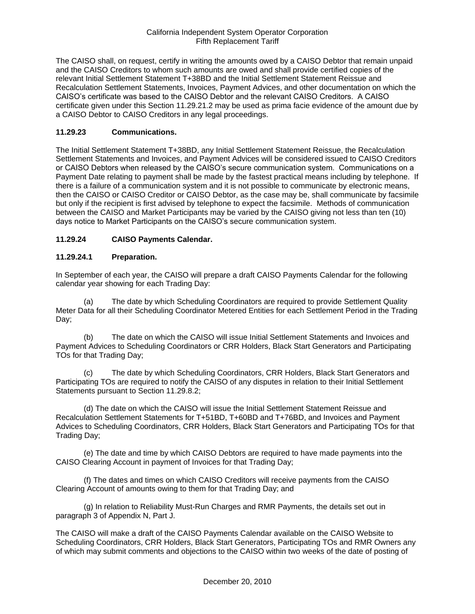The CAISO shall, on request, certify in writing the amounts owed by a CAISO Debtor that remain unpaid and the CAISO Creditors to whom such amounts are owed and shall provide certified copies of the relevant Initial Settlement Statement T+38BD and the Initial Settlement Statement Reissue and Recalculation Settlement Statements, Invoices, Payment Advices, and other documentation on which the CAISO's certificate was based to the CAISO Debtor and the relevant CAISO Creditors. A CAISO certificate given under this Section 11.29.21.2 may be used as prima facie evidence of the amount due by a CAISO Debtor to CAISO Creditors in any legal proceedings.

## **11.29.23 Communications.**

The Initial Settlement Statement T+38BD, any Initial Settlement Statement Reissue, the Recalculation Settlement Statements and Invoices, and Payment Advices will be considered issued to CAISO Creditors or CAISO Debtors when released by the CAISO's secure communication system. Communications on a Payment Date relating to payment shall be made by the fastest practical means including by telephone. If there is a failure of a communication system and it is not possible to communicate by electronic means, then the CAISO or CAISO Creditor or CAISO Debtor, as the case may be, shall communicate by facsimile but only if the recipient is first advised by telephone to expect the facsimile. Methods of communication between the CAISO and Market Participants may be varied by the CAISO giving not less than ten (10) days notice to Market Participants on the CAISO's secure communication system.

## **11.29.24 CAISO Payments Calendar.**

## **11.29.24.1 Preparation.**

In September of each year, the CAISO will prepare a draft CAISO Payments Calendar for the following calendar year showing for each Trading Day:

(a) The date by which Scheduling Coordinators are required to provide Settlement Quality Meter Data for all their Scheduling Coordinator Metered Entities for each Settlement Period in the Trading Day;

(b) The date on which the CAISO will issue Initial Settlement Statements and Invoices and Payment Advices to Scheduling Coordinators or CRR Holders, Black Start Generators and Participating TOs for that Trading Day;

The date by which Scheduling Coordinators, CRR Holders, Black Start Generators and Participating TOs are required to notify the CAISO of any disputes in relation to their Initial Settlement Statements pursuant to Section 11.29.8.2;

(d) The date on which the CAISO will issue the Initial Settlement Statement Reissue and Recalculation Settlement Statements for T+51BD, T+60BD and T+76BD, and Invoices and Payment Advices to Scheduling Coordinators, CRR Holders, Black Start Generators and Participating TOs for that Trading Day;

(e) The date and time by which CAISO Debtors are required to have made payments into the CAISO Clearing Account in payment of Invoices for that Trading Day;

(f) The dates and times on which CAISO Creditors will receive payments from the CAISO Clearing Account of amounts owing to them for that Trading Day; and

(g) In relation to Reliability Must-Run Charges and RMR Payments, the details set out in paragraph 3 of Appendix N, Part J.

The CAISO will make a draft of the CAISO Payments Calendar available on the CAISO Website to Scheduling Coordinators, CRR Holders, Black Start Generators, Participating TOs and RMR Owners any of which may submit comments and objections to the CAISO within two weeks of the date of posting of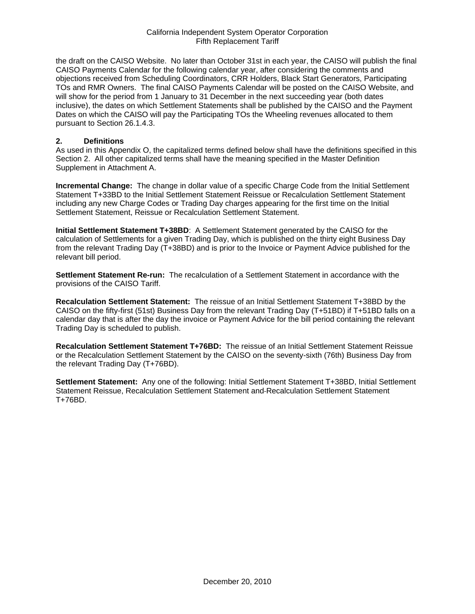the draft on the CAISO Website. No later than October 31st in each year, the CAISO will publish the final CAISO Payments Calendar for the following calendar year, after considering the comments and objections received from Scheduling Coordinators, CRR Holders, Black Start Generators, Participating TOs and RMR Owners. The final CAISO Payments Calendar will be posted on the CAISO Website, and will show for the period from 1 January to 31 December in the next succeeding year (both dates inclusive), the dates on which Settlement Statements shall be published by the CAISO and the Payment Dates on which the CAISO will pay the Participating TOs the Wheeling revenues allocated to them pursuant to Section 26.1.4.3.

### **2. Definitions**

As used in this Appendix O, the capitalized terms defined below shall have the definitions specified in this Section 2. All other capitalized terms shall have the meaning specified in the Master Definition Supplement in Attachment A.

**Incremental Change:** The change in dollar value of a specific Charge Code from the Initial Settlement Statement T+33BD to the Initial Settlement Statement Reissue or Recalculation Settlement Statement including any new Charge Codes or Trading Day charges appearing for the first time on the Initial Settlement Statement, Reissue or Recalculation Settlement Statement.

**Initial Settlement Statement T+38BD**: A Settlement Statement generated by the CAISO for the calculation of Settlements for a given Trading Day, which is published on the thirty eight Business Day from the relevant Trading Day (T+38BD) and is prior to the Invoice or Payment Advice published for the relevant bill period.

**Settlement Statement Re-run:** The recalculation of a Settlement Statement in accordance with the provisions of the CAISO Tariff.

**Recalculation Settlement Statement:** The reissue of an Initial Settlement Statement T+38BD by the CAISO on the fifty-first (51st) Business Day from the relevant Trading Day (T+51BD) if T+51BD falls on a calendar day that is after the day the invoice or Payment Advice for the bill period containing the relevant Trading Day is scheduled to publish.

**Recalculation Settlement Statement T+76BD:** The reissue of an Initial Settlement Statement Reissue or the Recalculation Settlement Statement by the CAISO on the seventy-sixth (76th) Business Day from the relevant Trading Day (T+76BD).

**Settlement Statement:** Any one of the following: Initial Settlement Statement T+38BD, Initial Settlement Statement Reissue, Recalculation Settlement Statement and Recalculation Settlement Statement T+76BD.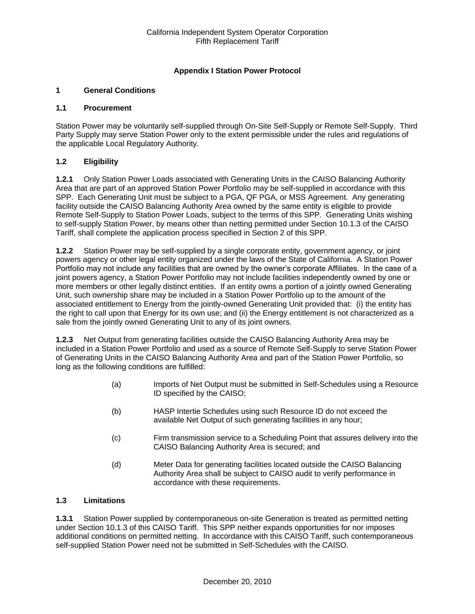## **Appendix I Station Power Protocol**

## **1 General Conditions**

#### **1.1 Procurement**

Station Power may be voluntarily self-supplied through On-Site Self-Supply or Remote Self-Supply. Third Party Supply may serve Station Power only to the extent permissible under the rules and regulations of the applicable Local Regulatory Authority.

## **1.2 Eligibility**

**1.2.1** Only Station Power Loads associated with Generating Units in the CAISO Balancing Authority Area that are part of an approved Station Power Portfolio may be self-supplied in accordance with this SPP. Each Generating Unit must be subject to a PGA, QF PGA, or MSS Agreement. Any generating facility outside the CAISO Balancing Authority Area owned by the same entity is eligible to provide Remote Self-Supply to Station Power Loads, subject to the terms of this SPP. Generating Units wishing to self-supply Station Power, by means other than netting permitted under Section 10.1.3 of the CAISO Tariff, shall complete the application process specified in Section 2 of this SPP.

**1.2.2** Station Power may be self-supplied by a single corporate entity, government agency, or joint powers agency or other legal entity organized under the laws of the State of California. A Station Power Portfolio may not include any facilities that are owned by the owner's corporate Affiliates. In the case of a joint powers agency, a Station Power Portfolio may not include facilities independently owned by one or more members or other legally distinct entities. If an entity owns a portion of a jointly owned Generating Unit, such ownership share may be included in a Station Power Portfolio up to the amount of the associated entitlement to Energy from the jointly-owned Generating Unit provided that: (i) the entity has the right to call upon that Energy for its own use; and (ii) the Energy entitlement is not characterized as a sale from the jointly owned Generating Unit to any of its joint owners.

**1.2.3** Net Output from generating facilities outside the CAISO Balancing Authority Area may be included in a Station Power Portfolio and used as a source of Remote Self-Supply to serve Station Power of Generating Units in the CAISO Balancing Authority Area and part of the Station Power Portfolio, so long as the following conditions are fulfilled:

- (a) Imports of Net Output must be submitted in Self-Schedules using a Resource ID specified by the CAISO;
- (b) HASP Intertie Schedules using such Resource ID do not exceed the available Net Output of such generating facilities in any hour;
- (c) Firm transmission service to a Scheduling Point that assures delivery into the CAISO Balancing Authority Area is secured; and
- (d) Meter Data for generating facilities located outside the CAISO Balancing Authority Area shall be subject to CAISO audit to verify performance in accordance with these requirements.

## **1.3 Limitations**

**1.3.1** Station Power supplied by contemporaneous on-site Generation is treated as permitted netting under Section 10.1.3 of this CAISO Tariff. This SPP neither expands opportunities for nor imposes additional conditions on permitted netting. In accordance with this CAISO Tariff, such contemporaneous self-supplied Station Power need not be submitted in Self-Schedules with the CAISO.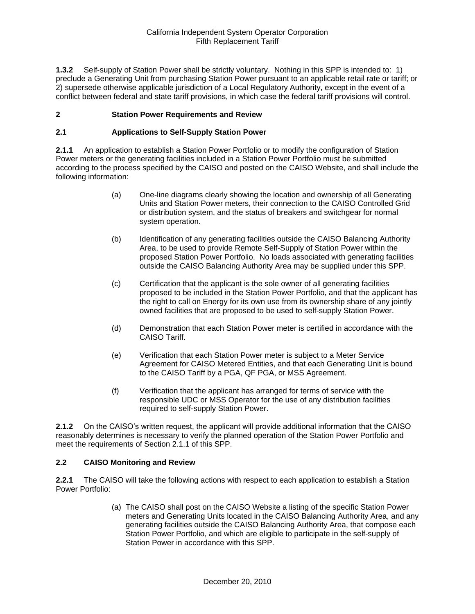**1.3.2** Self-supply of Station Power shall be strictly voluntary. Nothing in this SPP is intended to: 1) preclude a Generating Unit from purchasing Station Power pursuant to an applicable retail rate or tariff; or 2) supersede otherwise applicable jurisdiction of a Local Regulatory Authority, except in the event of a conflict between federal and state tariff provisions, in which case the federal tariff provisions will control.

## **2 Station Power Requirements and Review**

## **2.1 Applications to Self-Supply Station Power**

**2.1.1** An application to establish a Station Power Portfolio or to modify the configuration of Station Power meters or the generating facilities included in a Station Power Portfolio must be submitted according to the process specified by the CAISO and posted on the CAISO Website, and shall include the following information:

- (a) One-line diagrams clearly showing the location and ownership of all Generating Units and Station Power meters, their connection to the CAISO Controlled Grid or distribution system, and the status of breakers and switchgear for normal system operation.
- (b) Identification of any generating facilities outside the CAISO Balancing Authority Area, to be used to provide Remote Self-Supply of Station Power within the proposed Station Power Portfolio. No loads associated with generating facilities outside the CAISO Balancing Authority Area may be supplied under this SPP.
- (c) Certification that the applicant is the sole owner of all generating facilities proposed to be included in the Station Power Portfolio, and that the applicant has the right to call on Energy for its own use from its ownership share of any jointly owned facilities that are proposed to be used to self-supply Station Power.
- (d) Demonstration that each Station Power meter is certified in accordance with the CAISO Tariff.
- (e) Verification that each Station Power meter is subject to a Meter Service Agreement for CAISO Metered Entities, and that each Generating Unit is bound to the CAISO Tariff by a PGA, QF PGA, or MSS Agreement.
- (f) Verification that the applicant has arranged for terms of service with the responsible UDC or MSS Operator for the use of any distribution facilities required to self-supply Station Power.

**2.1.2** On the CAISO's written request, the applicant will provide additional information that the CAISO reasonably determines is necessary to verify the planned operation of the Station Power Portfolio and meet the requirements of Section 2.1.1 of this SPP.

## **2.2 CAISO Monitoring and Review**

**2.2.1** The CAISO will take the following actions with respect to each application to establish a Station Power Portfolio:

> (a) The CAISO shall post on the CAISO Website a listing of the specific Station Power meters and Generating Units located in the CAISO Balancing Authority Area, and any generating facilities outside the CAISO Balancing Authority Area, that compose each Station Power Portfolio, and which are eligible to participate in the self-supply of Station Power in accordance with this SPP.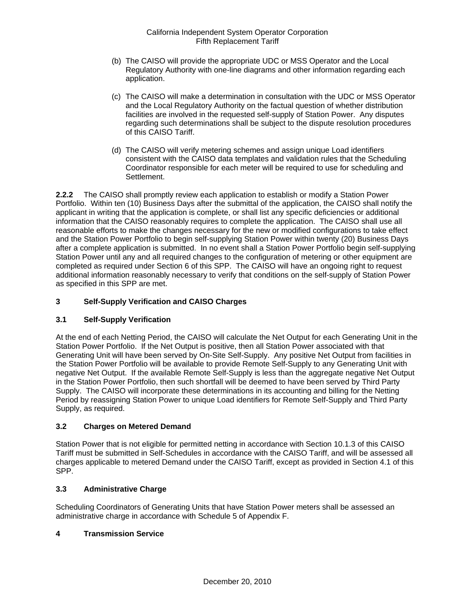- (b) The CAISO will provide the appropriate UDC or MSS Operator and the Local Regulatory Authority with one-line diagrams and other information regarding each application.
- (c) The CAISO will make a determination in consultation with the UDC or MSS Operator and the Local Regulatory Authority on the factual question of whether distribution facilities are involved in the requested self-supply of Station Power. Any disputes regarding such determinations shall be subject to the dispute resolution procedures of this CAISO Tariff.
- (d) The CAISO will verify metering schemes and assign unique Load identifiers consistent with the CAISO data templates and validation rules that the Scheduling Coordinator responsible for each meter will be required to use for scheduling and Settlement.

**2.2.2** The CAISO shall promptly review each application to establish or modify a Station Power Portfolio. Within ten (10) Business Days after the submittal of the application, the CAISO shall notify the applicant in writing that the application is complete, or shall list any specific deficiencies or additional information that the CAISO reasonably requires to complete the application. The CAISO shall use all reasonable efforts to make the changes necessary for the new or modified configurations to take effect and the Station Power Portfolio to begin self-supplying Station Power within twenty (20) Business Days after a complete application is submitted. In no event shall a Station Power Portfolio begin self-supplying Station Power until any and all required changes to the configuration of metering or other equipment are completed as required under Section 6 of this SPP. The CAISO will have an ongoing right to request additional information reasonably necessary to verify that conditions on the self-supply of Station Power as specified in this SPP are met.

## **3 Self-Supply Verification and CAISO Charges**

## **3.1 Self-Supply Verification**

At the end of each Netting Period, the CAISO will calculate the Net Output for each Generating Unit in the Station Power Portfolio. If the Net Output is positive, then all Station Power associated with that Generating Unit will have been served by On-Site Self-Supply. Any positive Net Output from facilities in the Station Power Portfolio will be available to provide Remote Self-Supply to any Generating Unit with negative Net Output. If the available Remote Self-Supply is less than the aggregate negative Net Output in the Station Power Portfolio, then such shortfall will be deemed to have been served by Third Party Supply. The CAISO will incorporate these determinations in its accounting and billing for the Netting Period by reassigning Station Power to unique Load identifiers for Remote Self-Supply and Third Party Supply, as required.

## **3.2 Charges on Metered Demand**

Station Power that is not eligible for permitted netting in accordance with Section 10.1.3 of this CAISO Tariff must be submitted in Self-Schedules in accordance with the CAISO Tariff, and will be assessed all charges applicable to metered Demand under the CAISO Tariff, except as provided in Section 4.1 of this SPP.

## **3.3 Administrative Charge**

Scheduling Coordinators of Generating Units that have Station Power meters shall be assessed an administrative charge in accordance with Schedule 5 of Appendix F.

## **4 Transmission Service**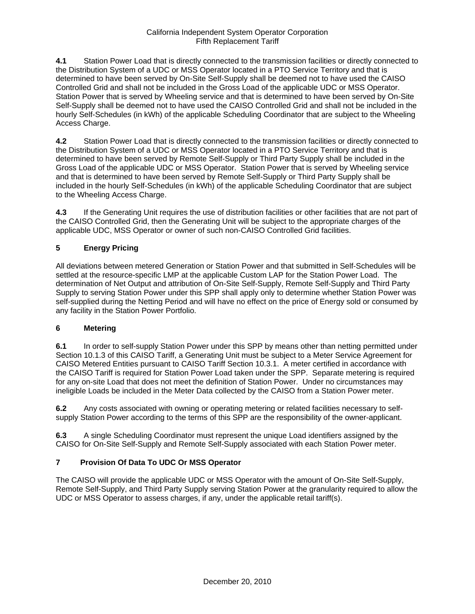**4.1** Station Power Load that is directly connected to the transmission facilities or directly connected to the Distribution System of a UDC or MSS Operator located in a PTO Service Territory and that is determined to have been served by On-Site Self-Supply shall be deemed not to have used the CAISO Controlled Grid and shall not be included in the Gross Load of the applicable UDC or MSS Operator. Station Power that is served by Wheeling service and that is determined to have been served by On-Site Self-Supply shall be deemed not to have used the CAISO Controlled Grid and shall not be included in the hourly Self-Schedules (in kWh) of the applicable Scheduling Coordinator that are subject to the Wheeling Access Charge.

**4.2** Station Power Load that is directly connected to the transmission facilities or directly connected to the Distribution System of a UDC or MSS Operator located in a PTO Service Territory and that is determined to have been served by Remote Self-Supply or Third Party Supply shall be included in the Gross Load of the applicable UDC or MSS Operator. Station Power that is served by Wheeling service and that is determined to have been served by Remote Self-Supply or Third Party Supply shall be included in the hourly Self-Schedules (in kWh) of the applicable Scheduling Coordinator that are subject to the Wheeling Access Charge.

**4.3** If the Generating Unit requires the use of distribution facilities or other facilities that are not part of the CAISO Controlled Grid, then the Generating Unit will be subject to the appropriate charges of the applicable UDC, MSS Operator or owner of such non-CAISO Controlled Grid facilities.

## **5 Energy Pricing**

All deviations between metered Generation or Station Power and that submitted in Self-Schedules will be settled at the resource-specific LMP at the applicable Custom LAP for the Station Power Load. The determination of Net Output and attribution of On-Site Self-Supply, Remote Self-Supply and Third Party Supply to serving Station Power under this SPP shall apply only to determine whether Station Power was self-supplied during the Netting Period and will have no effect on the price of Energy sold or consumed by any facility in the Station Power Portfolio.

## **6 Metering**

**6.1** In order to self-supply Station Power under this SPP by means other than netting permitted under Section 10.1.3 of this CAISO Tariff, a Generating Unit must be subject to a Meter Service Agreement for CAISO Metered Entities pursuant to CAISO Tariff Section 10.3.1. A meter certified in accordance with the CAISO Tariff is required for Station Power Load taken under the SPP. Separate metering is required for any on-site Load that does not meet the definition of Station Power. Under no circumstances may ineligible Loads be included in the Meter Data collected by the CAISO from a Station Power meter.

**6.2** Any costs associated with owning or operating metering or related facilities necessary to selfsupply Station Power according to the terms of this SPP are the responsibility of the owner-applicant.

**6.3** A single Scheduling Coordinator must represent the unique Load identifiers assigned by the CAISO for On-Site Self-Supply and Remote Self-Supply associated with each Station Power meter.

## **7 Provision Of Data To UDC Or MSS Operator**

The CAISO will provide the applicable UDC or MSS Operator with the amount of On-Site Self-Supply, Remote Self-Supply, and Third Party Supply serving Station Power at the granularity required to allow the UDC or MSS Operator to assess charges, if any, under the applicable retail tariff(s).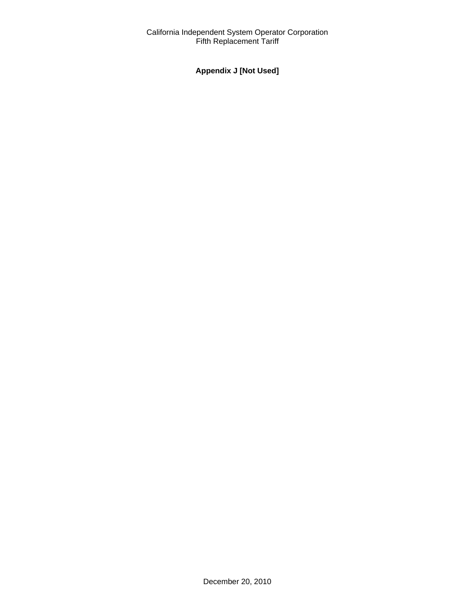# **Appendix J [Not Used]**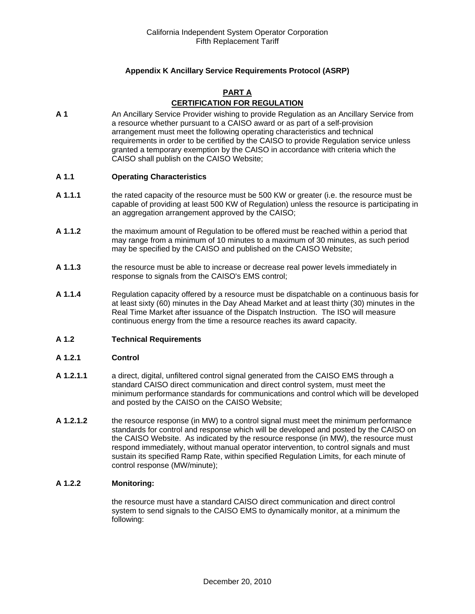## **Appendix K Ancillary Service Requirements Protocol (ASRP)**

## **PART A**

## **CERTIFICATION FOR REGULATION**

**A 1** An Ancillary Service Provider wishing to provide Regulation as an Ancillary Service from a resource whether pursuant to a CAISO award or as part of a self-provision arrangement must meet the following operating characteristics and technical requirements in order to be certified by the CAISO to provide Regulation service unless granted a temporary exemption by the CAISO in accordance with criteria which the CAISO shall publish on the CAISO Website;

### **A 1.1 Operating Characteristics**

- **A 1.1.1** the rated capacity of the resource must be 500 KW or greater (i.e. the resource must be capable of providing at least 500 KW of Regulation) unless the resource is participating in an aggregation arrangement approved by the CAISO;
- **A 1.1.2** the maximum amount of Regulation to be offered must be reached within a period that may range from a minimum of 10 minutes to a maximum of 30 minutes, as such period may be specified by the CAISO and published on the CAISO Website;
- **A 1.1.3** the resource must be able to increase or decrease real power levels immediately in response to signals from the CAISO's EMS control;
- **A 1.1.4** Regulation capacity offered by a resource must be dispatchable on a continuous basis for at least sixty (60) minutes in the Day Ahead Market and at least thirty (30) minutes in the Real Time Market after issuance of the Dispatch Instruction. The ISO will measure continuous energy from the time a resource reaches its award capacity.

#### **A 1.2 Technical Requirements**

#### **A 1.2.1 Control**

- **A 1.2.1.1** a direct, digital, unfiltered control signal generated from the CAISO EMS through a standard CAISO direct communication and direct control system, must meet the minimum performance standards for communications and control which will be developed and posted by the CAISO on the CAISO Website;
- **A 1.2.1.2** the resource response (in MW) to a control signal must meet the minimum performance standards for control and response which will be developed and posted by the CAISO on the CAISO Website. As indicated by the resource response (in MW), the resource must respond immediately, without manual operator intervention, to control signals and must sustain its specified Ramp Rate, within specified Regulation Limits, for each minute of control response (MW/minute);

#### **A 1.2.2 Monitoring:**

the resource must have a standard CAISO direct communication and direct control system to send signals to the CAISO EMS to dynamically monitor, at a minimum the following: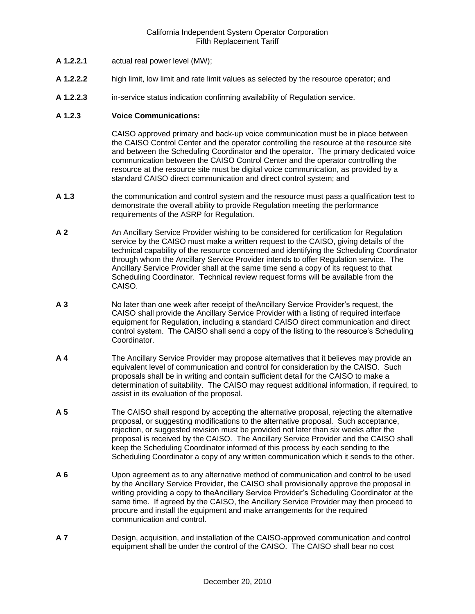- **A 1.2.2.1** actual real power level (MW);
- **A 1.2.2.2** high limit, low limit and rate limit values as selected by the resource operator; and
- **A 1.2.2.3** in-service status indication confirming availability of Regulation service.

### **A 1.2.3 Voice Communications:**

CAISO approved primary and back-up voice communication must be in place between the CAISO Control Center and the operator controlling the resource at the resource site and between the Scheduling Coordinator and the operator. The primary dedicated voice communication between the CAISO Control Center and the operator controlling the resource at the resource site must be digital voice communication, as provided by a standard CAISO direct communication and direct control system; and

- **A 1.3** the communication and control system and the resource must pass a qualification test to demonstrate the overall ability to provide Regulation meeting the performance requirements of the ASRP for Regulation.
- **A 2** An Ancillary Service Provider wishing to be considered for certification for Regulation service by the CAISO must make a written request to the CAISO, giving details of the technical capability of the resource concerned and identifying the Scheduling Coordinator through whom the Ancillary Service Provider intends to offer Regulation service. The Ancillary Service Provider shall at the same time send a copy of its request to that Scheduling Coordinator. Technical review request forms will be available from the CAISO.
- **A 3** No later than one week after receipt of theAncillary Service Provider's request, the CAISO shall provide the Ancillary Service Provider with a listing of required interface equipment for Regulation, including a standard CAISO direct communication and direct control system. The CAISO shall send a copy of the listing to the resource's Scheduling Coordinator.
- **A 4** The Ancillary Service Provider may propose alternatives that it believes may provide an equivalent level of communication and control for consideration by the CAISO. Such proposals shall be in writing and contain sufficient detail for the CAISO to make a determination of suitability. The CAISO may request additional information, if required, to assist in its evaluation of the proposal.
- **A 5** The CAISO shall respond by accepting the alternative proposal, rejecting the alternative proposal, or suggesting modifications to the alternative proposal. Such acceptance, rejection, or suggested revision must be provided not later than six weeks after the proposal is received by the CAISO. The Ancillary Service Provider and the CAISO shall keep the Scheduling Coordinator informed of this process by each sending to the Scheduling Coordinator a copy of any written communication which it sends to the other.
- **A 6** Upon agreement as to any alternative method of communication and control to be used by the Ancillary Service Provider, the CAISO shall provisionally approve the proposal in writing providing a copy to theAncillary Service Provider's Scheduling Coordinator at the same time. If agreed by the CAISO, the Ancillary Service Provider may then proceed to procure and install the equipment and make arrangements for the required communication and control.
- **A 7** Design, acquisition, and installation of the CAISO-approved communication and control equipment shall be under the control of the CAISO. The CAISO shall bear no cost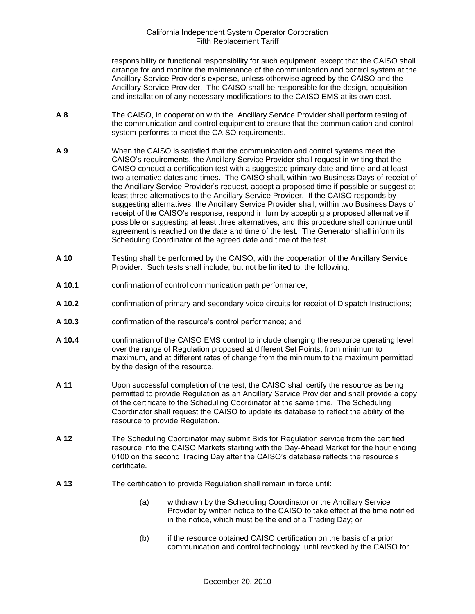responsibility or functional responsibility for such equipment, except that the CAISO shall arrange for and monitor the maintenance of the communication and control system at the Ancillary Service Provider's expense, unless otherwise agreed by the CAISO and the Ancillary Service Provider. The CAISO shall be responsible for the design, acquisition and installation of any necessary modifications to the CAISO EMS at its own cost.

- **A 8** The CAISO, in cooperation with the Ancillary Service Provider shall perform testing of the communication and control equipment to ensure that the communication and control system performs to meet the CAISO requirements.
- **A 9** When the CAISO is satisfied that the communication and control systems meet the CAISO's requirements, the Ancillary Service Provider shall request in writing that the CAISO conduct a certification test with a suggested primary date and time and at least two alternative dates and times. The CAISO shall, within two Business Days of receipt of the Ancillary Service Provider's request, accept a proposed time if possible or suggest at least three alternatives to the Ancillary Service Provider. If the CAISO responds by suggesting alternatives, the Ancillary Service Provider shall, within two Business Days of receipt of the CAISO's response, respond in turn by accepting a proposed alternative if possible or suggesting at least three alternatives, and this procedure shall continue until agreement is reached on the date and time of the test. The Generator shall inform its Scheduling Coordinator of the agreed date and time of the test.
- **A 10** Testing shall be performed by the CAISO, with the cooperation of the Ancillary Service Provider. Such tests shall include, but not be limited to, the following:
- **A 10.1** confirmation of control communication path performance;
- **A 10.2** confirmation of primary and secondary voice circuits for receipt of Dispatch Instructions;
- **A 10.3** confirmation of the resource's control performance; and
- **A 10.4** confirmation of the CAISO EMS control to include changing the resource operating level over the range of Regulation proposed at different Set Points, from minimum to maximum, and at different rates of change from the minimum to the maximum permitted by the design of the resource.
- **A 11** Upon successful completion of the test, the CAISO shall certify the resource as being permitted to provide Regulation as an Ancillary Service Provider and shall provide a copy of the certificate to the Scheduling Coordinator at the same time. The Scheduling Coordinator shall request the CAISO to update its database to reflect the ability of the resource to provide Regulation.
- **A 12** The Scheduling Coordinator may submit Bids for Regulation service from the certified resource into the CAISO Markets starting with the Day-Ahead Market for the hour ending 0100 on the second Trading Day after the CAISO's database reflects the resource's certificate.
- **A 13** The certification to provide Regulation shall remain in force until:
	- (a) withdrawn by the Scheduling Coordinator or the Ancillary Service Provider by written notice to the CAISO to take effect at the time notified in the notice, which must be the end of a Trading Day; or
	- (b) if the resource obtained CAISO certification on the basis of a prior communication and control technology, until revoked by the CAISO for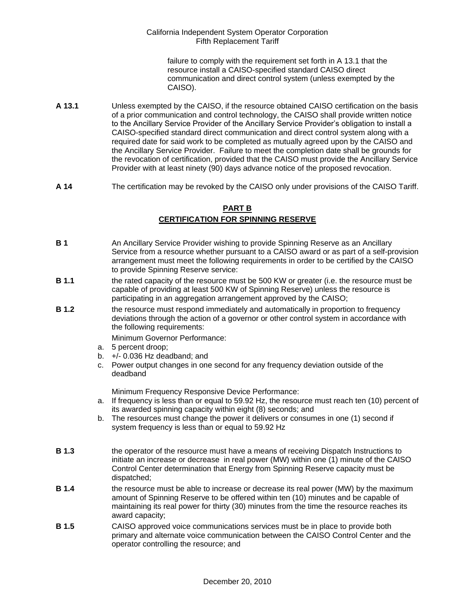failure to comply with the requirement set forth in A 13.1 that the resource install a CAISO-specified standard CAISO direct communication and direct control system (unless exempted by the CAISO).

- **A 13.1** Unless exempted by the CAISO, if the resource obtained CAISO certification on the basis of a prior communication and control technology, the CAISO shall provide written notice to the Ancillary Service Provider of the Ancillary Service Provider's obligation to install a CAISO-specified standard direct communication and direct control system along with a required date for said work to be completed as mutually agreed upon by the CAISO and the Ancillary Service Provider. Failure to meet the completion date shall be grounds for the revocation of certification, provided that the CAISO must provide the Ancillary Service Provider with at least ninety (90) days advance notice of the proposed revocation.
- **A 14** The certification may be revoked by the CAISO only under provisions of the CAISO Tariff.

### **PART B CERTIFICATION FOR SPINNING RESERVE**

- **B 1** An Ancillary Service Provider wishing to provide Spinning Reserve as an Ancillary Service from a resource whether pursuant to a CAISO award or as part of a self-provision arrangement must meet the following requirements in order to be certified by the CAISO
- **B 1.1** the rated capacity of the resource must be 500 KW or greater (i.e. the resource must be capable of providing at least 500 KW of Spinning Reserve) unless the resource is participating in an aggregation arrangement approved by the CAISO;
- **B 1.2** the resource must respond immediately and automatically in proportion to frequency deviations through the action of a governor or other control system in accordance with the following requirements:

Minimum Governor Performance:

to provide Spinning Reserve service:

- a. 5 percent droop;
- b. +/- 0.036 Hz deadband; and
- c. Power output changes in one second for any frequency deviation outside of the deadband

Minimum Frequency Responsive Device Performance:

- a. If frequency is less than or equal to 59.92 Hz, the resource must reach ten (10) percent of its awarded spinning capacity within eight (8) seconds; and
- b. The resources must change the power it delivers or consumes in one (1) second if system frequency is less than or equal to 59.92 Hz
- **B 1.3** the operator of the resource must have a means of receiving Dispatch Instructions to initiate an increase or decrease in real power (MW) within one (1) minute of the CAISO Control Center determination that Energy from Spinning Reserve capacity must be dispatched;
- **B 1.4** the resource must be able to increase or decrease its real power (MW) by the maximum amount of Spinning Reserve to be offered within ten (10) minutes and be capable of maintaining its real power for thirty (30) minutes from the time the resource reaches its award capacity;
- **B 1.5** CAISO approved voice communications services must be in place to provide both primary and alternate voice communication between the CAISO Control Center and the operator controlling the resource; and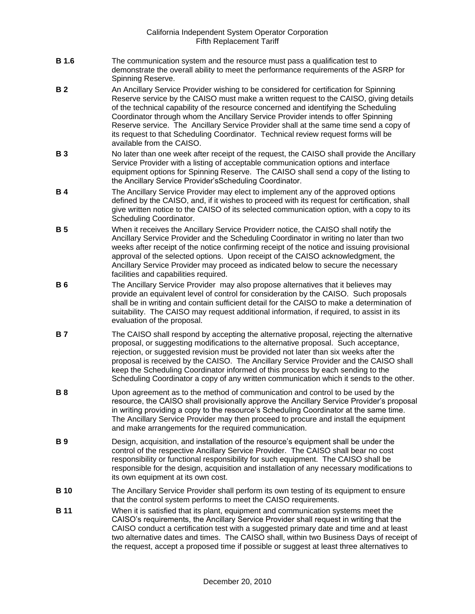- **B 1.6** The communication system and the resource must pass a qualification test to demonstrate the overall ability to meet the performance requirements of the ASRP for Spinning Reserve.
- **B 2** An Ancillary Service Provider wishing to be considered for certification for Spinning Reserve service by the CAISO must make a written request to the CAISO, giving details of the technical capability of the resource concerned and identifying the Scheduling Coordinator through whom the Ancillary Service Provider intends to offer Spinning Reserve service. The Ancillary Service Provider shall at the same time send a copy of its request to that Scheduling Coordinator. Technical review request forms will be available from the CAISO.
- **B 3** No later than one week after receipt of the request, the CAISO shall provide the Ancillary Service Provider with a listing of acceptable communication options and interface equipment options for Spinning Reserve. The CAISO shall send a copy of the listing to the Ancillary Service Provider'sScheduling Coordinator.
- **B 4** The Ancillary Service Provider may elect to implement any of the approved options defined by the CAISO, and, if it wishes to proceed with its request for certification, shall give written notice to the CAISO of its selected communication option, with a copy to its Scheduling Coordinator.
- **B 5** When it receives the Ancillary Service Providerr notice, the CAISO shall notify the Ancillary Service Provider and the Scheduling Coordinator in writing no later than two weeks after receipt of the notice confirming receipt of the notice and issuing provisional approval of the selected options. Upon receipt of the CAISO acknowledgment, the Ancillary Service Provider may proceed as indicated below to secure the necessary facilities and capabilities required.
- **B 6** The Ancillary Service Provider may also propose alternatives that it believes may provide an equivalent level of control for consideration by the CAISO. Such proposals shall be in writing and contain sufficient detail for the CAISO to make a determination of suitability. The CAISO may request additional information, if required, to assist in its evaluation of the proposal.
- **B 7** The CAISO shall respond by accepting the alternative proposal, rejecting the alternative proposal, or suggesting modifications to the alternative proposal. Such acceptance, rejection, or suggested revision must be provided not later than six weeks after the proposal is received by the CAISO. The Ancillary Service Provider and the CAISO shall keep the Scheduling Coordinator informed of this process by each sending to the Scheduling Coordinator a copy of any written communication which it sends to the other.
- **B 8** Upon agreement as to the method of communication and control to be used by the resource, the CAISO shall provisionally approve the Ancillary Service Provider's proposal in writing providing a copy to the resource's Scheduling Coordinator at the same time. The Ancillary Service Provider may then proceed to procure and install the equipment and make arrangements for the required communication.
- **B 9** Design, acquisition, and installation of the resource's equipment shall be under the control of the respective Ancillary Service Provider. The CAISO shall bear no cost responsibility or functional responsibility for such equipment. The CAISO shall be responsible for the design, acquisition and installation of any necessary modifications to its own equipment at its own cost.
- **B 10** The Ancillary Service Provider shall perform its own testing of its equipment to ensure that the control system performs to meet the CAISO requirements.
- **B 11** When it is satisfied that its plant, equipment and communication systems meet the CAISO's requirements, the Ancillary Service Provider shall request in writing that the CAISO conduct a certification test with a suggested primary date and time and at least two alternative dates and times. The CAISO shall, within two Business Days of receipt of the request, accept a proposed time if possible or suggest at least three alternatives to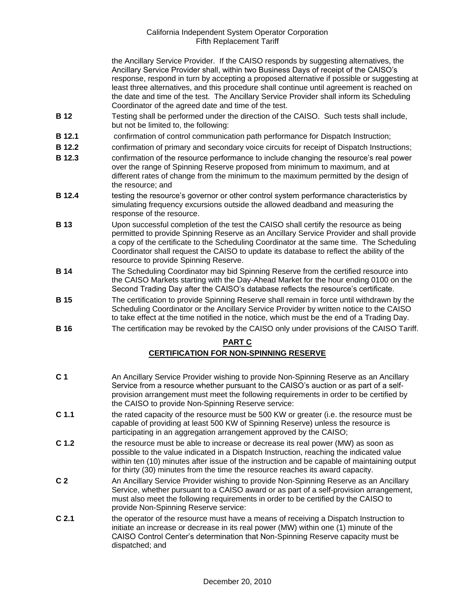the Ancillary Service Provider. If the CAISO responds by suggesting alternatives, the Ancillary Service Provider shall, within two Business Days of receipt of the CAISO's response, respond in turn by accepting a proposed alternative if possible or suggesting at least three alternatives, and this procedure shall continue until agreement is reached on the date and time of the test. The Ancillary Service Provider shall inform its Scheduling Coordinator of the agreed date and time of the test.

- **B 12** Testing shall be performed under the direction of the CAISO. Such tests shall include, but not be limited to, the following:
- **B 12.1** confirmation of control communication path performance for Dispatch Instruction;
- **B 12.2** confirmation of primary and secondary voice circuits for receipt of Dispatch Instructions;
- **B 12.3** confirmation of the resource performance to include changing the resource's real power over the range of Spinning Reserve proposed from minimum to maximum, and at different rates of change from the minimum to the maximum permitted by the design of the resource; and
- **B 12.4** testing the resource's governor or other control system performance characteristics by simulating frequency excursions outside the allowed deadband and measuring the response of the resource.
- **B 13** Upon successful completion of the test the CAISO shall certify the resource as being permitted to provide Spinning Reserve as an Ancillary Service Provider and shall provide a copy of the certificate to the Scheduling Coordinator at the same time. The Scheduling Coordinator shall request the CAISO to update its database to reflect the ability of the resource to provide Spinning Reserve.
- **B 14** The Scheduling Coordinator may bid Spinning Reserve from the certified resource into the CAISO Markets starting with the Day-Ahead Market for the hour ending 0100 on the Second Trading Day after the CAISO's database reflects the resource's certificate.
- **B 15** The certification to provide Spinning Reserve shall remain in force until withdrawn by the Scheduling Coordinator or the Ancillary Service Provider by written notice to the CAISO to take effect at the time notified in the notice, which must be the end of a Trading Day.
- **B 16** The certification may be revoked by the CAISO only under provisions of the CAISO Tariff.

## **PART C**

## **CERTIFICATION FOR NON-SPINNING RESERVE**

- **C 1** An Ancillary Service Provider wishing to provide Non-Spinning Reserve as an Ancillary Service from a resource whether pursuant to the CAISO's auction or as part of a selfprovision arrangement must meet the following requirements in order to be certified by the CAISO to provide Non-Spinning Reserve service:
- **C 1.1** the rated capacity of the resource must be 500 KW or greater (i.e. the resource must be capable of providing at least 500 KW of Spinning Reserve) unless the resource is participating in an aggregation arrangement approved by the CAISO;
- **C 1.2** the resource must be able to increase or decrease its real power (MW) as soon as possible to the value indicated in a Dispatch Instruction, reaching the indicated value within ten (10) minutes after issue of the instruction and be capable of maintaining output for thirty (30) minutes from the time the resource reaches its award capacity.
- **C 2** An Ancillary Service Provider wishing to provide Non-Spinning Reserve as an Ancillary Service, whether pursuant to a CAISO award or as part of a self-provision arrangement, must also meet the following requirements in order to be certified by the CAISO to provide Non-Spinning Reserve service:
- **C 2.1** the operator of the resource must have a means of receiving a Dispatch Instruction to initiate an increase or decrease in its real power (MW) within one (1) minute of the CAISO Control Center's determination that Non-Spinning Reserve capacity must be dispatched; and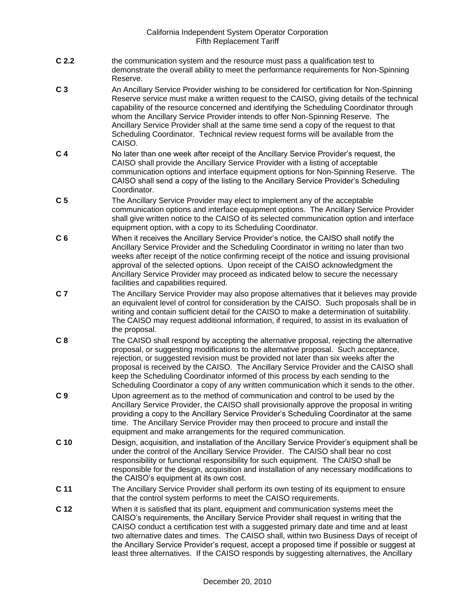- **C 2.2** the communication system and the resource must pass a qualification test to demonstrate the overall ability to meet the performance requirements for Non-Spinning Reserve.
- **C 3** An Ancillary Service Provider wishing to be considered for certification for Non-Spinning Reserve service must make a written request to the CAISO, giving details of the technical capability of the resource concerned and identifying the Scheduling Coordinator through whom the Ancillary Service Provider intends to offer Non-Spinning Reserve. The Ancillary Service Provider shall at the same time send a copy of the request to that Scheduling Coordinator. Technical review request forms will be available from the CAISO.
- **C 4** No later than one week after receipt of the Ancillary Service Provider's request, the CAISO shall provide the Ancillary Service Provider with a listing of acceptable communication options and interface equipment options for Non-Spinning Reserve. The CAISO shall send a copy of the listing to the Ancillary Service Provider's Scheduling Coordinator.
- **C 5** The Ancillary Service Provider may elect to implement any of the acceptable communication options and interface equipment options. The Ancillary Service Provider shall give written notice to the CAISO of its selected communication option and interface equipment option, with a copy to its Scheduling Coordinator.
- **C 6** When it receives the Ancillary Service Provider's notice, the CAISO shall notify the Ancillary Service Provider and the Scheduling Coordinator in writing no later than two weeks after receipt of the notice confirming receipt of the notice and issuing provisional approval of the selected options. Upon receipt of the CAISO acknowledgment the Ancillary Service Provider may proceed as indicated below to secure the necessary facilities and capabilities required.
- **C 7** The Ancillary Service Provider may also propose alternatives that it believes may provide an equivalent level of control for consideration by the CAISO. Such proposals shall be in writing and contain sufficient detail for the CAISO to make a determination of suitability. The CAISO may request additional information, if required, to assist in its evaluation of the proposal.
- **C 8** The CAISO shall respond by accepting the alternative proposal, rejecting the alternative proposal, or suggesting modifications to the alternative proposal. Such acceptance, rejection, or suggested revision must be provided not later than six weeks after the proposal is received by the CAISO. The Ancillary Service Provider and the CAISO shall keep the Scheduling Coordinator informed of this process by each sending to the Scheduling Coordinator a copy of any written communication which it sends to the other.
- **C 9** Upon agreement as to the method of communication and control to be used by the Ancillary Service Provider, the CAISO shall provisionally approve the proposal in writing providing a copy to the Ancillary Service Provider's Scheduling Coordinator at the same time. The Ancillary Service Provider may then proceed to procure and install the equipment and make arrangements for the required communication.
- **C 10** Design, acquisition, and installation of the Ancillary Service Provider's equipment shall be under the control of the Ancillary Service Provider. The CAISO shall bear no cost responsibility or functional responsibility for such equipment. The CAISO shall be responsible for the design, acquisition and installation of any necessary modifications to the CAISO's equipment at its own cost.
- **C 11** The Ancillary Service Provider shall perform its own testing of its equipment to ensure that the control system performs to meet the CAISO requirements.
- **C 12** When it is satisfied that its plant, equipment and communication systems meet the CAISO's requirements, the Ancillary Service Provider shall request in writing that the CAISO conduct a certification test with a suggested primary date and time and at least two alternative dates and times. The CAISO shall, within two Business Days of receipt of the Ancillary Service Provider's request, accept a proposed time if possible or suggest at least three alternatives. If the CAISO responds by suggesting alternatives, the Ancillary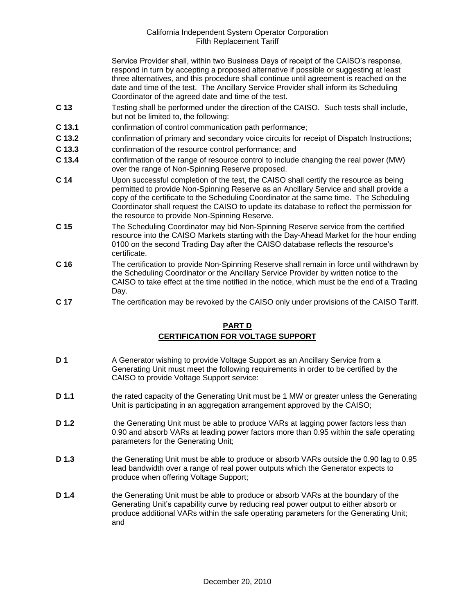Service Provider shall, within two Business Days of receipt of the CAISO's response, respond in turn by accepting a proposed alternative if possible or suggesting at least three alternatives, and this procedure shall continue until agreement is reached on the date and time of the test. The Ancillary Service Provider shall inform its Scheduling Coordinator of the agreed date and time of the test.

- **C 13** Testing shall be performed under the direction of the CAISO. Such tests shall include, but not be limited to, the following:
- **C 13.1** confirmation of control communication path performance;
- **C 13.2** confirmation of primary and secondary voice circuits for receipt of Dispatch Instructions;
- **C 13.3** confirmation of the resource control performance; and
- **C 13.4** confirmation of the range of resource control to include changing the real power (MW) over the range of Non-Spinning Reserve proposed.
- **C 14** Upon successful completion of the test, the CAISO shall certify the resource as being permitted to provide Non-Spinning Reserve as an Ancillary Service and shall provide a copy of the certificate to the Scheduling Coordinator at the same time. The Scheduling Coordinator shall request the CAISO to update its database to reflect the permission for the resource to provide Non-Spinning Reserve.
- **C 15** The Scheduling Coordinator may bid Non-Spinning Reserve service from the certified resource into the CAISO Markets starting with the Day-Ahead Market for the hour ending 0100 on the second Trading Day after the CAISO database reflects the resource's certificate.
- **C 16** The certification to provide Non-Spinning Reserve shall remain in force until withdrawn by the Scheduling Coordinator or the Ancillary Service Provider by written notice to the CAISO to take effect at the time notified in the notice, which must be the end of a Trading Day.
- **C 17** The certification may be revoked by the CAISO only under provisions of the CAISO Tariff.

## **PART D CERTIFICATION FOR VOLTAGE SUPPORT**

- **D 1** A Generator wishing to provide Voltage Support as an Ancillary Service from a Generating Unit must meet the following requirements in order to be certified by the CAISO to provide Voltage Support service:
- **D 1.1** the rated capacity of the Generating Unit must be 1 MW or greater unless the Generating Unit is participating in an aggregation arrangement approved by the CAISO;
- **D 1.2** the Generating Unit must be able to produce VARs at lagging power factors less than 0.90 and absorb VARs at leading power factors more than 0.95 within the safe operating parameters for the Generating Unit;
- **D 1.3** the Generating Unit must be able to produce or absorb VARs outside the 0.90 lag to 0.95 lead bandwidth over a range of real power outputs which the Generator expects to produce when offering Voltage Support;
- **D 1.4** the Generating Unit must be able to produce or absorb VARs at the boundary of the Generating Unit's capability curve by reducing real power output to either absorb or produce additional VARs within the safe operating parameters for the Generating Unit; and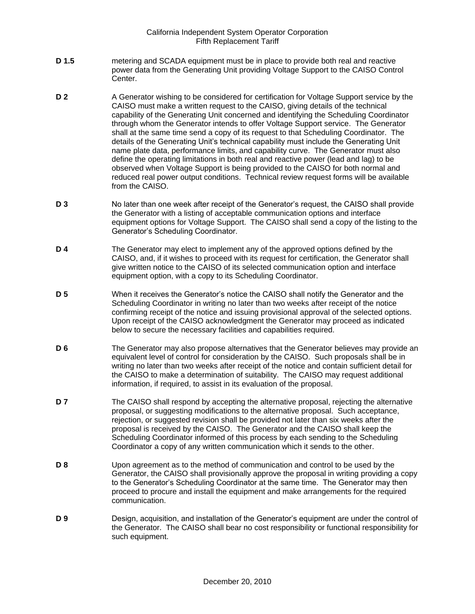- **D 1.5** metering and SCADA equipment must be in place to provide both real and reactive power data from the Generating Unit providing Voltage Support to the CAISO Control Center.
- **D 2** A Generator wishing to be considered for certification for Voltage Support service by the CAISO must make a written request to the CAISO, giving details of the technical capability of the Generating Unit concerned and identifying the Scheduling Coordinator through whom the Generator intends to offer Voltage Support service. The Generator shall at the same time send a copy of its request to that Scheduling Coordinator. The details of the Generating Unit's technical capability must include the Generating Unit name plate data, performance limits, and capability curve. The Generator must also define the operating limitations in both real and reactive power (lead and lag) to be observed when Voltage Support is being provided to the CAISO for both normal and reduced real power output conditions. Technical review request forms will be available from the CAISO.
- **D 3** No later than one week after receipt of the Generator's request, the CAISO shall provide the Generator with a listing of acceptable communication options and interface equipment options for Voltage Support. The CAISO shall send a copy of the listing to the Generator's Scheduling Coordinator.
- **D 4** The Generator may elect to implement any of the approved options defined by the CAISO, and, if it wishes to proceed with its request for certification, the Generator shall give written notice to the CAISO of its selected communication option and interface equipment option, with a copy to its Scheduling Coordinator.
- **D 5** When it receives the Generator's notice the CAISO shall notify the Generator and the Scheduling Coordinator in writing no later than two weeks after receipt of the notice confirming receipt of the notice and issuing provisional approval of the selected options. Upon receipt of the CAISO acknowledgment the Generator may proceed as indicated below to secure the necessary facilities and capabilities required.
- **D 6** The Generator may also propose alternatives that the Generator believes may provide an equivalent level of control for consideration by the CAISO. Such proposals shall be in writing no later than two weeks after receipt of the notice and contain sufficient detail for the CAISO to make a determination of suitability. The CAISO may request additional information, if required, to assist in its evaluation of the proposal.
- **D 7** The CAISO shall respond by accepting the alternative proposal, rejecting the alternative proposal, or suggesting modifications to the alternative proposal. Such acceptance, rejection, or suggested revision shall be provided not later than six weeks after the proposal is received by the CAISO. The Generator and the CAISO shall keep the Scheduling Coordinator informed of this process by each sending to the Scheduling Coordinator a copy of any written communication which it sends to the other.
- **D 8** Upon agreement as to the method of communication and control to be used by the Generator, the CAISO shall provisionally approve the proposal in writing providing a copy to the Generator's Scheduling Coordinator at the same time. The Generator may then proceed to procure and install the equipment and make arrangements for the required communication.
- **D 9** Design, acquisition, and installation of the Generator's equipment are under the control of the Generator. The CAISO shall bear no cost responsibility or functional responsibility for such equipment.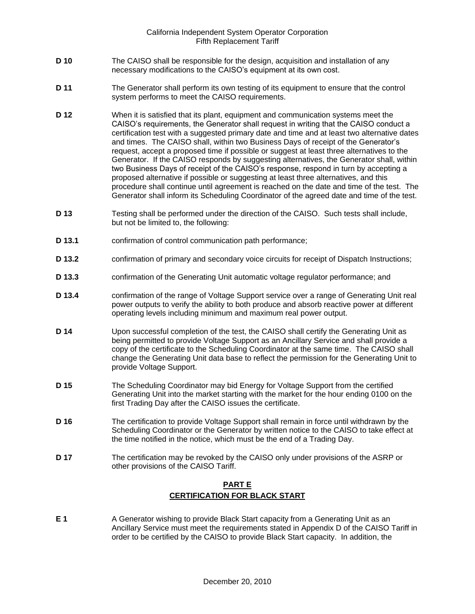- **D 10** The CAISO shall be responsible for the design, acquisition and installation of any necessary modifications to the CAISO's equipment at its own cost.
- **D 11** The Generator shall perform its own testing of its equipment to ensure that the control system performs to meet the CAISO requirements.
- **D 12** When it is satisfied that its plant, equipment and communication systems meet the CAISO's requirements, the Generator shall request in writing that the CAISO conduct a certification test with a suggested primary date and time and at least two alternative dates and times. The CAISO shall, within two Business Days of receipt of the Generator's request, accept a proposed time if possible or suggest at least three alternatives to the Generator. If the CAISO responds by suggesting alternatives, the Generator shall, within two Business Days of receipt of the CAISO's response, respond in turn by accepting a proposed alternative if possible or suggesting at least three alternatives, and this procedure shall continue until agreement is reached on the date and time of the test. The Generator shall inform its Scheduling Coordinator of the agreed date and time of the test.
- **D 13** Testing shall be performed under the direction of the CAISO. Such tests shall include, but not be limited to, the following:
- **D 13.1** confirmation of control communication path performance;
- **D 13.2** confirmation of primary and secondary voice circuits for receipt of Dispatch Instructions;
- **D 13.3** confirmation of the Generating Unit automatic voltage regulator performance; and
- **D 13.4** confirmation of the range of Voltage Support service over a range of Generating Unit real power outputs to verify the ability to both produce and absorb reactive power at different operating levels including minimum and maximum real power output.
- **D 14** Upon successful completion of the test, the CAISO shall certify the Generating Unit as being permitted to provide Voltage Support as an Ancillary Service and shall provide a copy of the certificate to the Scheduling Coordinator at the same time. The CAISO shall change the Generating Unit data base to reflect the permission for the Generating Unit to provide Voltage Support.
- **D 15** The Scheduling Coordinator may bid Energy for Voltage Support from the certified Generating Unit into the market starting with the market for the hour ending 0100 on the first Trading Day after the CAISO issues the certificate.
- **D 16** The certification to provide Voltage Support shall remain in force until withdrawn by the Scheduling Coordinator or the Generator by written notice to the CAISO to take effect at the time notified in the notice, which must be the end of a Trading Day.
- **D 17** The certification may be revoked by the CAISO only under provisions of the ASRP or other provisions of the CAISO Tariff.

## **PART E CERTIFICATION FOR BLACK START**

**E 1** A Generator wishing to provide Black Start capacity from a Generating Unit as an Ancillary Service must meet the requirements stated in Appendix D of the CAISO Tariff in order to be certified by the CAISO to provide Black Start capacity. In addition, the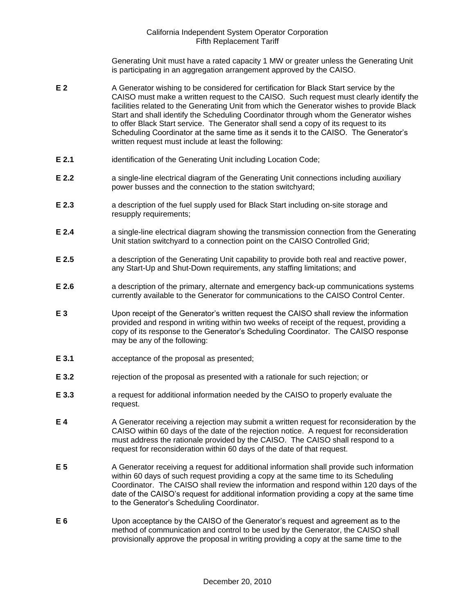Generating Unit must have a rated capacity 1 MW or greater unless the Generating Unit is participating in an aggregation arrangement approved by the CAISO.

- **E 2** A Generator wishing to be considered for certification for Black Start service by the CAISO must make a written request to the CAISO. Such request must clearly identify the facilities related to the Generating Unit from which the Generator wishes to provide Black Start and shall identify the Scheduling Coordinator through whom the Generator wishes to offer Black Start service. The Generator shall send a copy of its request to its Scheduling Coordinator at the same time as it sends it to the CAISO. The Generator's written request must include at least the following:
- **E 2.1** identification of the Generating Unit including Location Code;
- **E 2.2 a** single-line electrical diagram of the Generating Unit connections including auxiliary power busses and the connection to the station switchyard;
- **E 2.3** a description of the fuel supply used for Black Start including on-site storage and resupply requirements;
- **E 2.4** a single-line electrical diagram showing the transmission connection from the Generating Unit station switchyard to a connection point on the CAISO Controlled Grid;
- **E 2.5** a description of the Generating Unit capability to provide both real and reactive power, any Start-Up and Shut-Down requirements, any staffing limitations; and
- **E 2.6** a description of the primary, alternate and emergency back-up communications systems currently available to the Generator for communications to the CAISO Control Center.
- **E 3** Upon receipt of the Generator's written request the CAISO shall review the information provided and respond in writing within two weeks of receipt of the request, providing a copy of its response to the Generator's Scheduling Coordinator. The CAISO response may be any of the following:
- **E 3.1** acceptance of the proposal as presented;
- **E 3.2** rejection of the proposal as presented with a rationale for such rejection; or
- **E 3.3** a request for additional information needed by the CAISO to properly evaluate the request.
- **E 4** A Generator receiving a rejection may submit a written request for reconsideration by the CAISO within 60 days of the date of the rejection notice. A request for reconsideration must address the rationale provided by the CAISO. The CAISO shall respond to a request for reconsideration within 60 days of the date of that request.
- **E 5** A Generator receiving a request for additional information shall provide such information within 60 days of such request providing a copy at the same time to its Scheduling Coordinator. The CAISO shall review the information and respond within 120 days of the date of the CAISO's request for additional information providing a copy at the same time to the Generator's Scheduling Coordinator.
- **E 6** Upon acceptance by the CAISO of the Generator's request and agreement as to the method of communication and control to be used by the Generator, the CAISO shall provisionally approve the proposal in writing providing a copy at the same time to the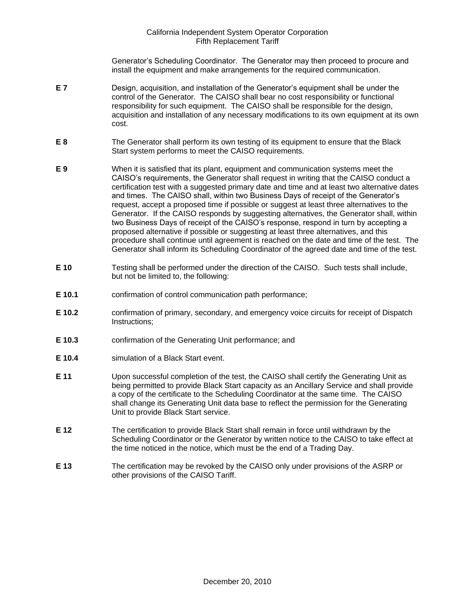Generator's Scheduling Coordinator. The Generator may then proceed to procure and install the equipment and make arrangements for the required communication.

- **E 7** Design, acquisition, and installation of the Generator's equipment shall be under the control of the Generator. The CAISO shall bear no cost responsibility or functional responsibility for such equipment. The CAISO shall be responsible for the design, acquisition and installation of any necessary modifications to its own equipment at its own cost.
- **E 8** The Generator shall perform its own testing of its equipment to ensure that the Black Start system performs to meet the CAISO requirements.
- **E 9** When it is satisfied that its plant, equipment and communication systems meet the CAISO's requirements, the Generator shall request in writing that the CAISO conduct a certification test with a suggested primary date and time and at least two alternative dates and times. The CAISO shall, within two Business Days of receipt of the Generator's request, accept a proposed time if possible or suggest at least three alternatives to the Generator. If the CAISO responds by suggesting alternatives, the Generator shall, within two Business Days of receipt of the CAISO's response, respond in turn by accepting a proposed alternative if possible or suggesting at least three alternatives, and this procedure shall continue until agreement is reached on the date and time of the test. The Generator shall inform its Scheduling Coordinator of the agreed date and time of the test.
- **E 10** Testing shall be performed under the direction of the CAISO. Such tests shall include, but not be limited to, the following:
- **E 10.1** confirmation of control communication path performance;
- **E 10.2** confirmation of primary, secondary, and emergency voice circuits for receipt of Dispatch Instructions;
- **E 10.3** confirmation of the Generating Unit performance; and
- **E 10.4** simulation of a Black Start event.
- **E 11** Upon successful completion of the test, the CAISO shall certify the Generating Unit as being permitted to provide Black Start capacity as an Ancillary Service and shall provide a copy of the certificate to the Scheduling Coordinator at the same time. The CAISO shall change its Generating Unit data base to reflect the permission for the Generating Unit to provide Black Start service.
- **E 12** The certification to provide Black Start shall remain in force until withdrawn by the Scheduling Coordinator or the Generator by written notice to the CAISO to take effect at the time noticed in the notice, which must be the end of a Trading Day.
- **E 13** The certification may be revoked by the CAISO only under provisions of the ASRP or other provisions of the CAISO Tariff.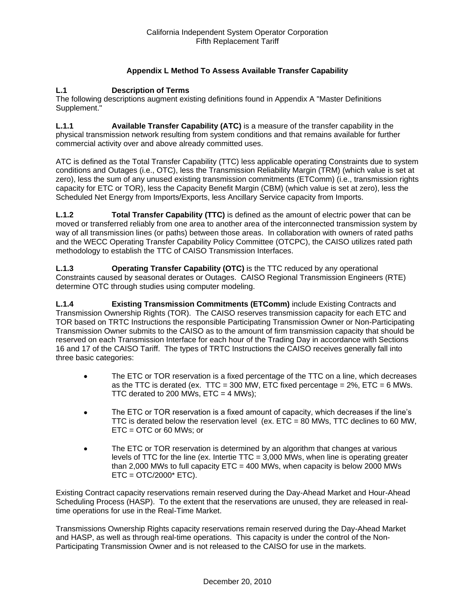## **Appendix L Method To Assess Available Transfer Capability**

### **L.1 Description of Terms**

The following descriptions augment existing definitions found in Appendix A "Master Definitions Supplement."

**L.1.1 Available Transfer Capability (ATC)** is a measure of the transfer capability in the physical transmission network resulting from system conditions and that remains available for further commercial activity over and above already committed uses.

ATC is defined as the Total Transfer Capability (TTC) less applicable operating Constraints due to system conditions and Outages (i.e., OTC), less the Transmission Reliability Margin (TRM) (which value is set at zero), less the sum of any unused existing transmission commitments (ETComm) (i.e., transmission rights capacity for ETC or TOR), less the Capacity Benefit Margin (CBM) (which value is set at zero), less the Scheduled Net Energy from Imports/Exports, less Ancillary Service capacity from Imports.

**L.1.2 Total Transfer Capability (TTC)** is defined as the amount of electric power that can be moved or transferred reliably from one area to another area of the interconnected transmission system by way of all transmission lines (or paths) between those areas. In collaboration with owners of rated paths and the WECC Operating Transfer Capability Policy Committee (OTCPC), the CAISO utilizes rated path methodology to establish the TTC of CAISO Transmission Interfaces.

**L.1.3 Operating Transfer Capability (OTC)** is the TTC reduced by any operational Constraints caused by seasonal derates or Outages. CAISO Regional Transmission Engineers (RTE) determine OTC through studies using computer modeling.

**L.1.4 Existing Transmission Commitments (ETComm)** include Existing Contracts and Transmission Ownership Rights (TOR). The CAISO reserves transmission capacity for each ETC and TOR based on TRTC Instructions the responsible Participating Transmission Owner or Non-Participating Transmission Owner submits to the CAISO as to the amount of firm transmission capacity that should be reserved on each Transmission Interface for each hour of the Trading Day in accordance with Sections 16 and 17 of the CAISO Tariff. The types of TRTC Instructions the CAISO receives generally fall into three basic categories:

- The ETC or TOR reservation is a fixed percentage of the TTC on a line, which decreases as the TTC is derated (ex. TTC = 300 MW, ETC fixed percentage =  $2\%$ , ETC = 6 MWs. TTC derated to 200 MWs,  $ETC = 4$  MWs);
- The ETC or TOR reservation is a fixed amount of capacity, which decreases if the line's TTC is derated below the reservation level (ex.  $ETC = 80$  MWs, TTC declines to 60 MW, ETC = OTC or 60 MWs; or
- The ETC or TOR reservation is determined by an algorithm that changes at various levels of TTC for the line (ex. Intertie TTC = 3,000 MWs, when line is operating greater than 2,000 MWs to full capacity  $ETC = 400$  MWs, when capacity is below 2000 MWs  $ETC = OTC/2000*$   $ETC$ ).

Existing Contract capacity reservations remain reserved during the Day-Ahead Market and Hour-Ahead Scheduling Process (HASP). To the extent that the reservations are unused, they are released in realtime operations for use in the Real-Time Market.

Transmissions Ownership Rights capacity reservations remain reserved during the Day-Ahead Market and HASP, as well as through real-time operations. This capacity is under the control of the Non-Participating Transmission Owner and is not released to the CAISO for use in the markets.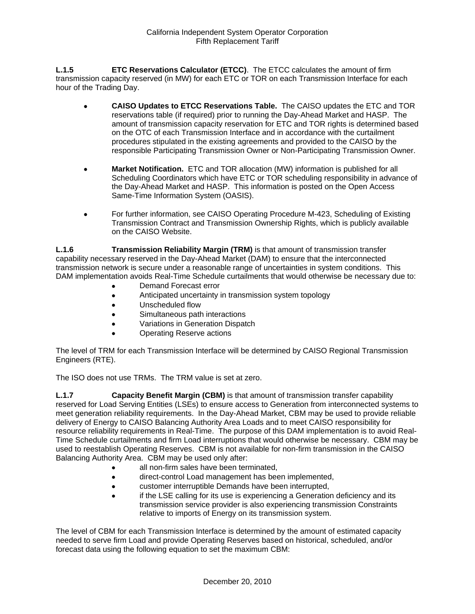**L.1.5 ETC Reservations Calculator (ETCC)**. The ETCC calculates the amount of firm transmission capacity reserved (in MW) for each ETC or TOR on each Transmission Interface for each hour of the Trading Day.

- **CAISO Updates to ETCC Reservations Table.** The CAISO updates the ETC and TOR reservations table (if required) prior to running the Day-Ahead Market and HASP. The amount of transmission capacity reservation for ETC and TOR rights is determined based on the OTC of each Transmission Interface and in accordance with the curtailment procedures stipulated in the existing agreements and provided to the CAISO by the responsible Participating Transmission Owner or Non-Participating Transmission Owner.
- **Market Notification.** ETC and TOR allocation (MW) information is published for all Scheduling Coordinators which have ETC or TOR scheduling responsibility in advance of the Day-Ahead Market and HASP. This information is posted on the Open Access Same-Time Information System (OASIS).
- For further information, see CAISO Operating Procedure M-423, Scheduling of Existing Transmission Contract and Transmission Ownership Rights, which is publicly available on the CAISO Website.

**L.1.6 Transmission Reliability Margin (TRM)** is that amount of transmission transfer capability necessary reserved in the Day-Ahead Market (DAM) to ensure that the interconnected transmission network is secure under a reasonable range of uncertainties in system conditions. This DAM implementation avoids Real-Time Schedule curtailments that would otherwise be necessary due to:

- Demand Forecast error
- Anticipated uncertainty in transmission system topology
- Unscheduled flow
- Simultaneous path interactions
- Variations in Generation Dispatch
- Operating Reserve actions

The level of TRM for each Transmission Interface will be determined by CAISO Regional Transmission Engineers (RTE).

The ISO does not use TRMs. The TRM value is set at zero.

**L.1.7 Capacity Benefit Margin (CBM)** is that amount of transmission transfer capability reserved for Load Serving Entities (LSEs) to ensure access to Generation from interconnected systems to meet generation reliability requirements. In the Day-Ahead Market, CBM may be used to provide reliable delivery of Energy to CAISO Balancing Authority Area Loads and to meet CAISO responsibility for resource reliability requirements in Real-Time. The purpose of this DAM implementation is to avoid Real-Time Schedule curtailments and firm Load interruptions that would otherwise be necessary. CBM may be used to reestablish Operating Reserves. CBM is not available for non-firm transmission in the CAISO Balancing Authority Area. CBM may be used only after:

- all non-firm sales have been terminated,
- direct-control Load management has been implemented,
- customer interruptible Demands have been interrupted,
- if the LSE calling for its use is experiencing a Generation deficiency and its transmission service provider is also experiencing transmission Constraints relative to imports of Energy on its transmission system.

The level of CBM for each Transmission Interface is determined by the amount of estimated capacity needed to serve firm Load and provide Operating Reserves based on historical, scheduled, and/or forecast data using the following equation to set the maximum CBM: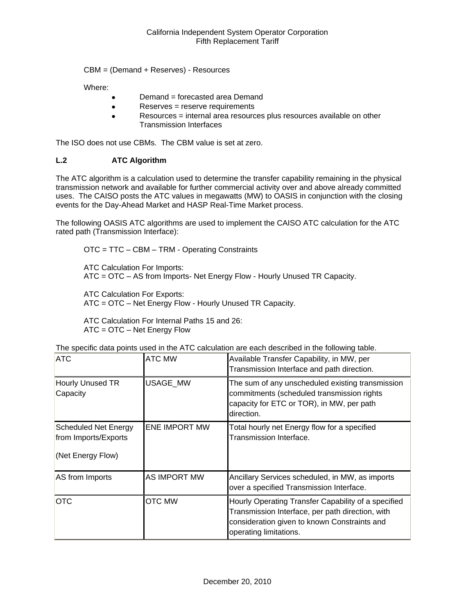CBM = (Demand + Reserves) - Resources

Where:

- Demand = forecasted area Demand
- Reserves = reserve requirements
- Resources = internal area resources plus resources available on other Transmission Interfaces

The ISO does not use CBMs. The CBM value is set at zero.

### **L.2 ATC Algorithm**

The ATC algorithm is a calculation used to determine the transfer capability remaining in the physical transmission network and available for further commercial activity over and above already committed uses. The CAISO posts the ATC values in megawatts (MW) to OASIS in conjunction with the closing events for the Day-Ahead Market and HASP Real-Time Market process.

The following OASIS ATC algorithms are used to implement the CAISO ATC calculation for the ATC rated path (Transmission Interface):

OTC = TTC – CBM – TRM - Operating Constraints

ATC Calculation For Imports:

ATC = OTC – AS from Imports- Net Energy Flow - Hourly Unused TR Capacity.

ATC Calculation For Exports: ATC = OTC – Net Energy Flow - Hourly Unused TR Capacity.

ATC Calculation For Internal Paths 15 and 26: ATC = OTC – Net Energy Flow

| <b>ATC</b>                                                               | <b>ATC MW</b>        | Available Transfer Capability, in MW, per<br>Transmission Interface and path direction.                                                                                           |
|--------------------------------------------------------------------------|----------------------|-----------------------------------------------------------------------------------------------------------------------------------------------------------------------------------|
| Hourly Unused TR<br>Capacity                                             | <b>USAGE MW</b>      | The sum of any unscheduled existing transmission<br>commitments (scheduled transmission rights<br>capacity for ETC or TOR), in MW, per path<br>direction.                         |
| <b>Scheduled Net Energy</b><br>from Imports/Exports<br>(Net Energy Flow) | <b>ENE IMPORT MW</b> | Total hourly net Energy flow for a specified<br>Transmission Interface.                                                                                                           |
| AS from Imports                                                          | AS IMPORT MW         | Ancillary Services scheduled, in MW, as imports<br>over a specified Transmission Interface.                                                                                       |
| <b>OTC</b>                                                               | <b>OTC MW</b>        | Hourly Operating Transfer Capability of a specified<br>Transmission Interface, per path direction, with<br>consideration given to known Constraints and<br>operating limitations. |

The specific data points used in the ATC calculation are each described in the following table.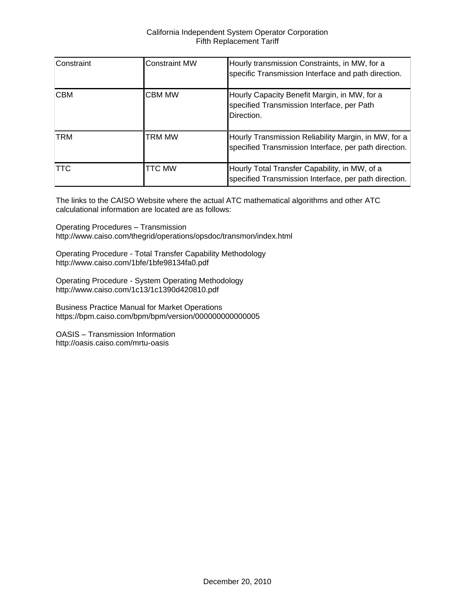| Constraint | <b>Constraint MW</b> | Hourly transmission Constraints, in MW, for a<br>specific Transmission Interface and path direction.          |
|------------|----------------------|---------------------------------------------------------------------------------------------------------------|
| <b>CBM</b> | <b>CBM MW</b>        | Hourly Capacity Benefit Margin, in MW, for a<br>specified Transmission Interface, per Path<br>Direction.      |
| <b>TRM</b> | TRM MW               | Hourly Transmission Reliability Margin, in MW, for a<br>specified Transmission Interface, per path direction. |
| <b>TTC</b> | TTC MW               | Hourly Total Transfer Capability, in MW, of a<br>specified Transmission Interface, per path direction.        |

The links to the CAISO Website where the actual ATC mathematical algorithms and other ATC calculational information are located are as follows:

Operating Procedures – Transmission http://www.caiso.com/thegrid/operations/opsdoc/transmon/index.html

Operating Procedure - Total Transfer Capability Methodology http://www.caiso.com/1bfe/1bfe98134fa0.pdf

Operating Procedure - System Operating Methodology http://www.caiso.com/1c13/1c1390d420810.pdf

Business Practice Manual for Market Operations https://bpm.caiso.com/bpm/bpm/version/000000000000005

OASIS – Transmission Information http://oasis.caiso.com/mrtu-oasis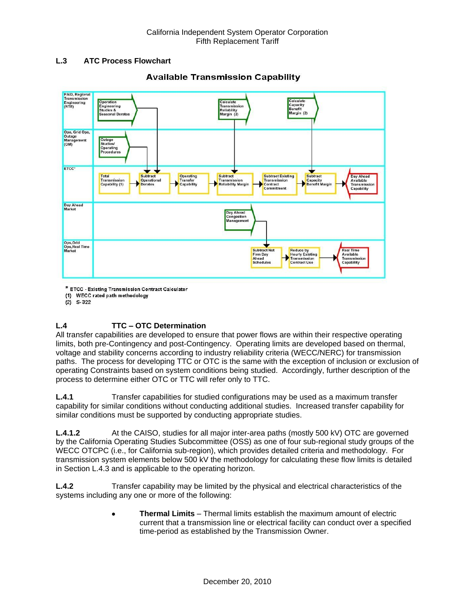## **L.3 ATC Process Flowchart**



## **Available Transmission Capability**

\* ETCC - Existing Transmission Contract Calculator

(1) WECC rated path methodology

 $(2)$  S-322

## **L.4 TTC – OTC Determination**

All transfer capabilities are developed to ensure that power flows are within their respective operating limits, both pre-Contingency and post-Contingency. Operating limits are developed based on thermal, voltage and stability concerns according to industry reliability criteria (WECC/NERC) for transmission paths. The process for developing TTC or OTC is the same with the exception of inclusion or exclusion of operating Constraints based on system conditions being studied. Accordingly, further description of the process to determine either OTC or TTC will refer only to TTC.

**L.4.1** Transfer capabilities for studied configurations may be used as a maximum transfer capability for similar conditions without conducting additional studies. Increased transfer capability for similar conditions must be supported by conducting appropriate studies.

**L.4.1.2** At the CAISO, studies for all major inter-area paths (mostly 500 kV) OTC are governed by the California Operating Studies Subcommittee (OSS) as one of four sub-regional study groups of the WECC OTCPC (i.e., for California sub-region), which provides detailed criteria and methodology. For transmission system elements below 500 kV the methodology for calculating these flow limits is detailed in Section L.4.3 and is applicable to the operating horizon.

**L.4.2** Transfer capability may be limited by the physical and electrical characteristics of the systems including any one or more of the following:

> **Thermal Limits** – Thermal limits establish the maximum amount of electric current that a transmission line or electrical facility can conduct over a specified time-period as established by the Transmission Owner.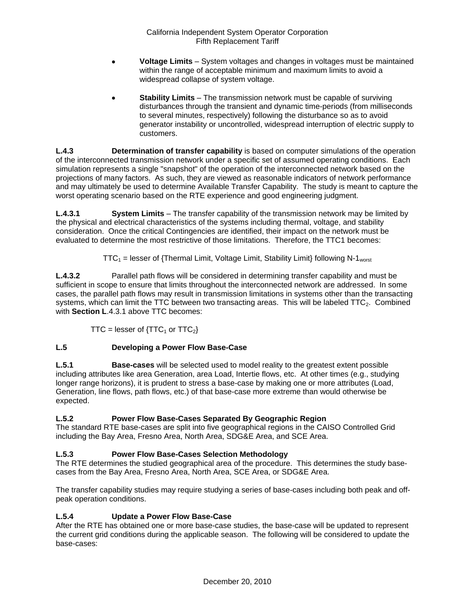- **Voltage Limits** System voltages and changes in voltages must be maintained within the range of acceptable minimum and maximum limits to avoid a widespread collapse of system voltage.
- **Stability Limits** The transmission network must be capable of surviving disturbances through the transient and dynamic time-periods (from milliseconds to several minutes, respectively) following the disturbance so as to avoid generator instability or uncontrolled, widespread interruption of electric supply to customers.

**L.4.3 Determination of transfer capability** is based on computer simulations of the operation of the interconnected transmission network under a specific set of assumed operating conditions. Each simulation represents a single "snapshot" of the operation of the interconnected network based on the projections of many factors. As such, they are viewed as reasonable indicators of network performance and may ultimately be used to determine Available Transfer Capability. The study is meant to capture the worst operating scenario based on the RTE experience and good engineering judgment.

**L.4.3.1 System Limits** – The transfer capability of the transmission network may be limited by the physical and electrical characteristics of the systems including thermal, voltage, and stability consideration. Once the critical Contingencies are identified, their impact on the network must be evaluated to determine the most restrictive of those limitations. Therefore, the TTC1 becomes:

 $TTC_1$  = lesser of {Thermal Limit, Voltage Limit, Stability Limit} following N-1<sub>worst</sub>

**L.4.3.2** Parallel path flows will be considered in determining transfer capability and must be sufficient in scope to ensure that limits throughout the interconnected network are addressed. In some cases, the parallel path flows may result in transmission limitations in systems other than the transacting systems, which can limit the TTC between two transacting areas. This will be labeled  $TTC<sub>2</sub>$ . Combined with **Section L**.4.3.1 above TTC becomes:

TTC = lesser of  $\{TTC_1$  or  $TTC_2\}$ 

## **L.5 Developing a Power Flow Base-Case**

**L.5.1 Base-cases** will be selected used to model reality to the greatest extent possible including attributes like area Generation, area Load, Intertie flows, etc. At other times (e.g., studying longer range horizons), it is prudent to stress a base-case by making one or more attributes (Load, Generation, line flows, path flows, etc.) of that base-case more extreme than would otherwise be expected.

## **L.5.2 Power Flow Base-Cases Separated By Geographic Region**

The standard RTE base-cases are split into five geographical regions in the CAISO Controlled Grid including the Bay Area, Fresno Area, North Area, SDG&E Area, and SCE Area.

## **L.5.3 Power Flow Base-Cases Selection Methodology**

The RTE determines the studied geographical area of the procedure. This determines the study basecases from the Bay Area, Fresno Area, North Area, SCE Area, or SDG&E Area.

The transfer capability studies may require studying a series of base-cases including both peak and offpeak operation conditions.

## **L.5.4 Update a Power Flow Base-Case**

After the RTE has obtained one or more base-case studies, the base-case will be updated to represent the current grid conditions during the applicable season. The following will be considered to update the base-cases: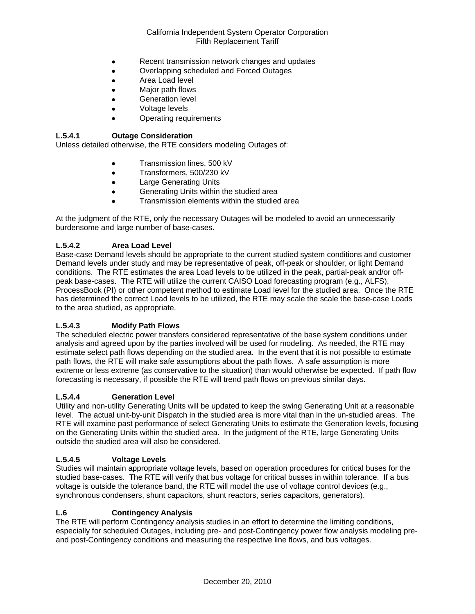- Recent transmission network changes and updates
- Overlapping scheduled and Forced Outages
- Area Load level
- Major path flows
- Generation level
- Voltage levels
- Operating requirements

### **L.5.4.1 Outage Consideration**

Unless detailed otherwise, the RTE considers modeling Outages of:

- **•** Transmission lines, 500 kV
- **Transformers, 500/230 kV**
- **•** Large Generating Units
- **•** Generating Units within the studied area
- Transmission elements within the studied area

At the judgment of the RTE, only the necessary Outages will be modeled to avoid an unnecessarily burdensome and large number of base-cases.

### **L.5.4.2 Area Load Level**

Base-case Demand levels should be appropriate to the current studied system conditions and customer Demand levels under study and may be representative of peak, off-peak or shoulder, or light Demand conditions. The RTE estimates the area Load levels to be utilized in the peak, partial-peak and/or offpeak base-cases. The RTE will utilize the current CAISO Load forecasting program (e.g., ALFS), ProcessBook (PI) or other competent method to estimate Load level for the studied area. Once the RTE has determined the correct Load levels to be utilized, the RTE may scale the scale the base-case Loads to the area studied, as appropriate.

## **L.5.4.3 Modify Path Flows**

The scheduled electric power transfers considered representative of the base system conditions under analysis and agreed upon by the parties involved will be used for modeling. As needed, the RTE may estimate select path flows depending on the studied area. In the event that it is not possible to estimate path flows, the RTE will make safe assumptions about the path flows. A safe assumption is more extreme or less extreme (as conservative to the situation) than would otherwise be expected. If path flow forecasting is necessary, if possible the RTE will trend path flows on previous similar days.

#### **L.5.4.4 Generation Level**

Utility and non-utility Generating Units will be updated to keep the swing Generating Unit at a reasonable level. The actual unit-by-unit Dispatch in the studied area is more vital than in the un-studied areas. The RTE will examine past performance of select Generating Units to estimate the Generation levels, focusing on the Generating Units within the studied area. In the judgment of the RTE, large Generating Units outside the studied area will also be considered.

#### **L.5.4.5 Voltage Levels**

Studies will maintain appropriate voltage levels, based on operation procedures for critical buses for the studied base-cases. The RTE will verify that bus voltage for critical busses in within tolerance. If a bus voltage is outside the tolerance band, the RTE will model the use of voltage control devices (e.g., synchronous condensers, shunt capacitors, shunt reactors, series capacitors, generators).

#### **L.6 Contingency Analysis**

The RTE will perform Contingency analysis studies in an effort to determine the limiting conditions, especially for scheduled Outages, including pre- and post-Contingency power flow analysis modeling preand post-Contingency conditions and measuring the respective line flows, and bus voltages.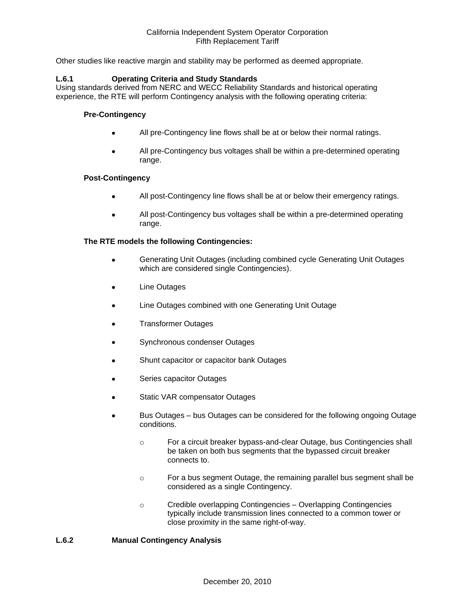Other studies like reactive margin and stability may be performed as deemed appropriate.

### **L.6.1 Operating Criteria and Study Standards**

Using standards derived from NERC and WECC Reliability Standards and historical operating experience, the RTE will perform Contingency analysis with the following operating criteria:

### **Pre-Contingency**

- All pre-Contingency line flows shall be at or below their normal ratings.
- All pre-Contingency bus voltages shall be within a pre-determined operating range.

#### **Post-Contingency**

- All post-Contingency line flows shall be at or below their emergency ratings.
- All post-Contingency bus voltages shall be within a pre-determined operating range.

### **The RTE models the following Contingencies:**

- Generating Unit Outages (including combined cycle Generating Unit Outages which are considered single Contingencies).
- Line Outages
- Line Outages combined with one Generating Unit Outage
- Transformer Outages
- Synchronous condenser Outages
- Shunt capacitor or capacitor bank Outages
- Series capacitor Outages
- Static VAR compensator Outages
- Bus Outages bus Outages can be considered for the following ongoing Outage conditions.
	- o For a circuit breaker bypass-and-clear Outage, bus Contingencies shall be taken on both bus segments that the bypassed circuit breaker connects to.
	- o For a bus segment Outage, the remaining parallel bus segment shall be considered as a single Contingency.
	- o Credible overlapping Contingencies Overlapping Contingencies typically include transmission lines connected to a common tower or close proximity in the same right-of-way.

#### **L.6.2 Manual Contingency Analysis**